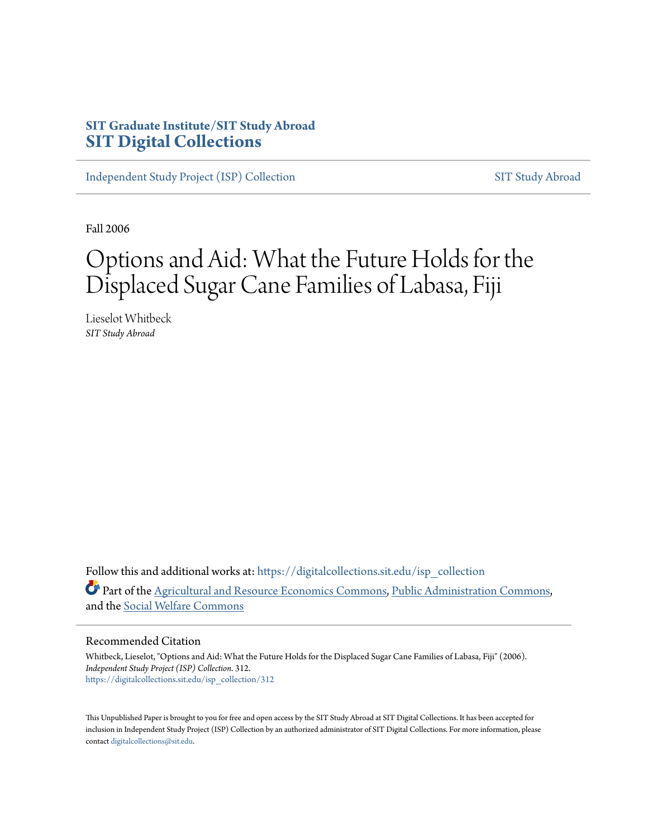# **SIT Graduate Institute/SIT Study Abroad [SIT Digital Collections](https://digitalcollections.sit.edu?utm_source=digitalcollections.sit.edu%2Fisp_collection%2F312&utm_medium=PDF&utm_campaign=PDFCoverPages)**

[Independent Study Project \(ISP\) Collection](https://digitalcollections.sit.edu/isp_collection?utm_source=digitalcollections.sit.edu%2Fisp_collection%2F312&utm_medium=PDF&utm_campaign=PDFCoverPages) [SIT Study Abroad](https://digitalcollections.sit.edu/study_abroad?utm_source=digitalcollections.sit.edu%2Fisp_collection%2F312&utm_medium=PDF&utm_campaign=PDFCoverPages)

Fall 2006

# Options and Aid: What the Future Holds for the Displaced Sugar Cane Families of Labasa, Fiji

Lieselot Whitbeck *SIT Study Abroad*

Follow this and additional works at: [https://digitalcollections.sit.edu/isp\\_collection](https://digitalcollections.sit.edu/isp_collection?utm_source=digitalcollections.sit.edu%2Fisp_collection%2F312&utm_medium=PDF&utm_campaign=PDFCoverPages) Part of the [Agricultural and Resource Economics Commons](http://network.bepress.com/hgg/discipline/317?utm_source=digitalcollections.sit.edu%2Fisp_collection%2F312&utm_medium=PDF&utm_campaign=PDFCoverPages), [Public Administration Commons,](http://network.bepress.com/hgg/discipline/398?utm_source=digitalcollections.sit.edu%2Fisp_collection%2F312&utm_medium=PDF&utm_campaign=PDFCoverPages) and the [Social Welfare Commons](http://network.bepress.com/hgg/discipline/401?utm_source=digitalcollections.sit.edu%2Fisp_collection%2F312&utm_medium=PDF&utm_campaign=PDFCoverPages)

#### Recommended Citation

Whitbeck, Lieselot, "Options and Aid: What the Future Holds for the Displaced Sugar Cane Families of Labasa, Fiji" (2006). *Independent Study Project (ISP) Collection*. 312. [https://digitalcollections.sit.edu/isp\\_collection/312](https://digitalcollections.sit.edu/isp_collection/312?utm_source=digitalcollections.sit.edu%2Fisp_collection%2F312&utm_medium=PDF&utm_campaign=PDFCoverPages)

This Unpublished Paper is brought to you for free and open access by the SIT Study Abroad at SIT Digital Collections. It has been accepted for inclusion in Independent Study Project (ISP) Collection by an authorized administrator of SIT Digital Collections. For more information, please contact [digitalcollections@sit.edu](mailto:digitalcollections@sit.edu).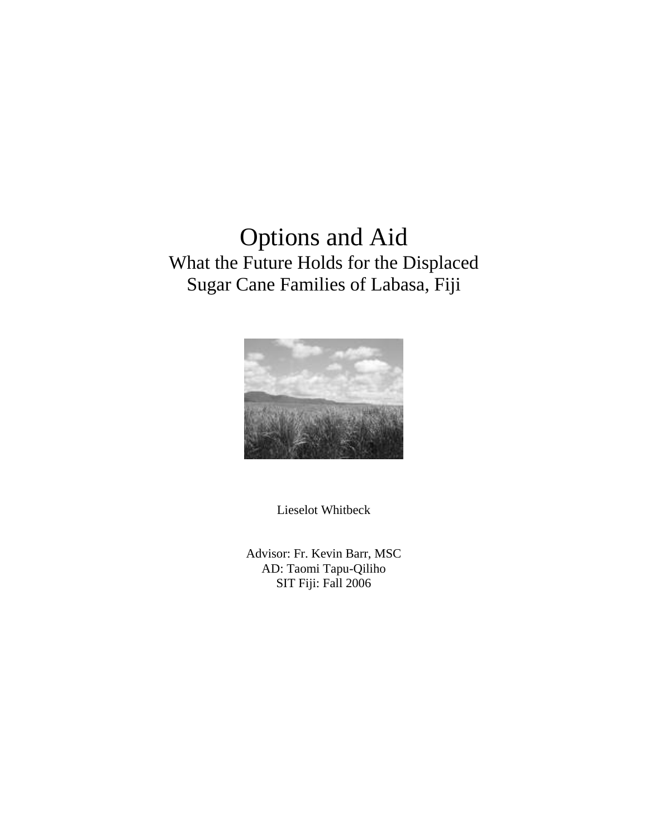# Options and Aid What the Future Holds for the Displaced Sugar Cane Families of Labasa, Fiji



Lieselot Whitbeck

Advisor: Fr. Kevin Barr, MSC AD: Taomi Tapu-Qiliho SIT Fiji: Fall 2006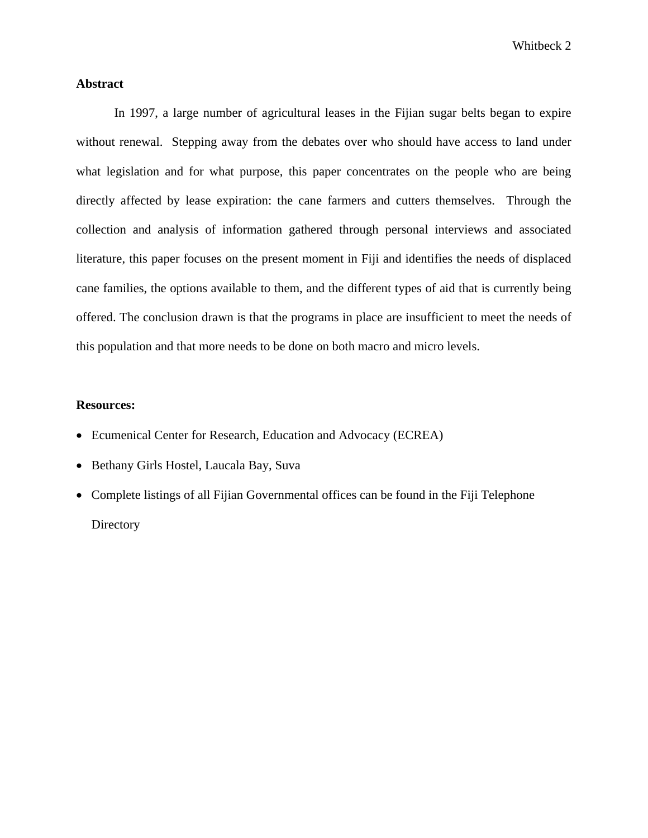# **Abstract**

In 1997, a large number of agricultural leases in the Fijian sugar belts began to expire without renewal. Stepping away from the debates over who should have access to land under what legislation and for what purpose, this paper concentrates on the people who are being directly affected by lease expiration: the cane farmers and cutters themselves. Through the collection and analysis of information gathered through personal interviews and associated literature, this paper focuses on the present moment in Fiji and identifies the needs of displaced cane families, the options available to them, and the different types of aid that is currently being offered. The conclusion drawn is that the programs in place are insufficient to meet the needs of this population and that more needs to be done on both macro and micro levels.

#### **Resources:**

- Ecumenical Center for Research, Education and Advocacy (ECREA)
- Bethany Girls Hostel, Laucala Bay, Suva
- Complete listings of all Fijian Governmental offices can be found in the Fiji Telephone **Directory**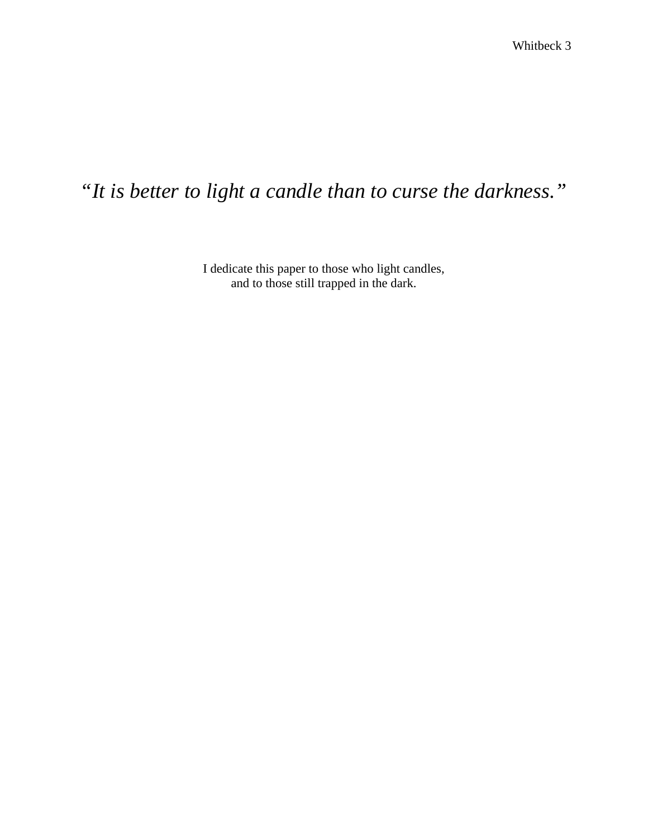# *"It is better to light a candle than to curse the darkness."*

I dedicate this paper to those who light candles, and to those still trapped in the dark.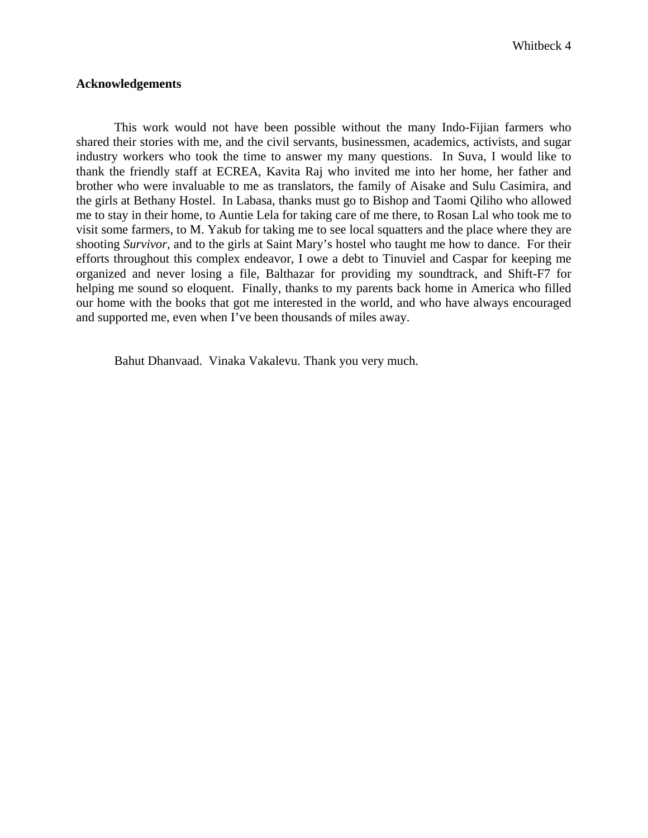#### **Acknowledgements**

 This work would not have been possible without the many Indo-Fijian farmers who shared their stories with me, and the civil servants, businessmen, academics, activists, and sugar industry workers who took the time to answer my many questions. In Suva, I would like to thank the friendly staff at ECREA, Kavita Raj who invited me into her home, her father and brother who were invaluable to me as translators, the family of Aisake and Sulu Casimira, and the girls at Bethany Hostel. In Labasa, thanks must go to Bishop and Taomi Qiliho who allowed me to stay in their home, to Auntie Lela for taking care of me there, to Rosan Lal who took me to visit some farmers, to M. Yakub for taking me to see local squatters and the place where they are shooting *Survivor*, and to the girls at Saint Mary's hostel who taught me how to dance. For their efforts throughout this complex endeavor, I owe a debt to Tinuviel and Caspar for keeping me organized and never losing a file, Balthazar for providing my soundtrack, and Shift-F7 for helping me sound so eloquent. Finally, thanks to my parents back home in America who filled our home with the books that got me interested in the world, and who have always encouraged and supported me, even when I've been thousands of miles away.

Bahut Dhanvaad. Vinaka Vakalevu. Thank you very much.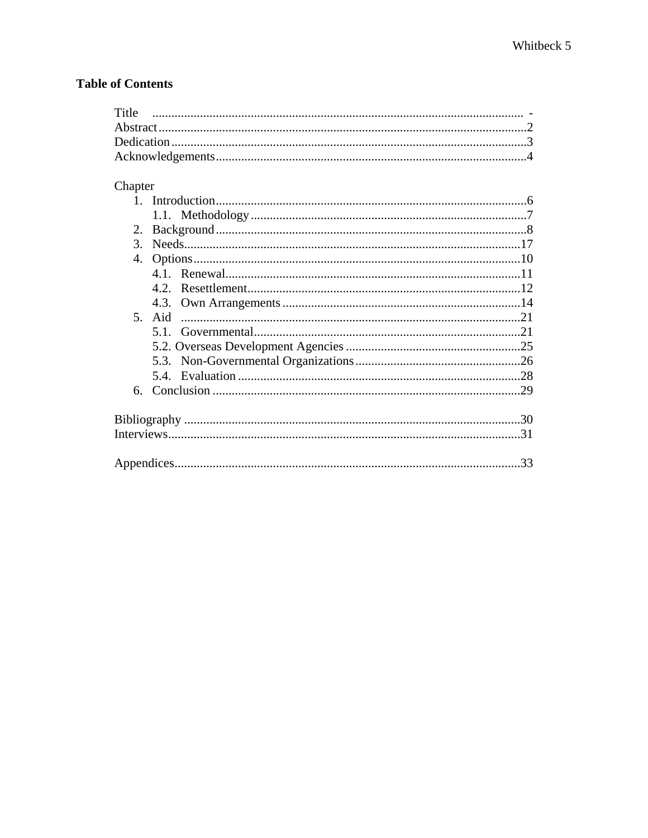# **Table of Contents**

| Title |  |
|-------|--|
|       |  |
|       |  |
|       |  |

# Chapter

| 2.            |      |     |
|---------------|------|-----|
| $\mathcal{E}$ |      |     |
|               |      |     |
|               |      |     |
|               | 4.2. |     |
|               |      |     |
|               |      |     |
|               |      |     |
|               |      |     |
|               |      |     |
|               |      |     |
|               |      |     |
|               |      |     |
|               |      |     |
|               |      |     |
|               |      | .33 |
|               |      |     |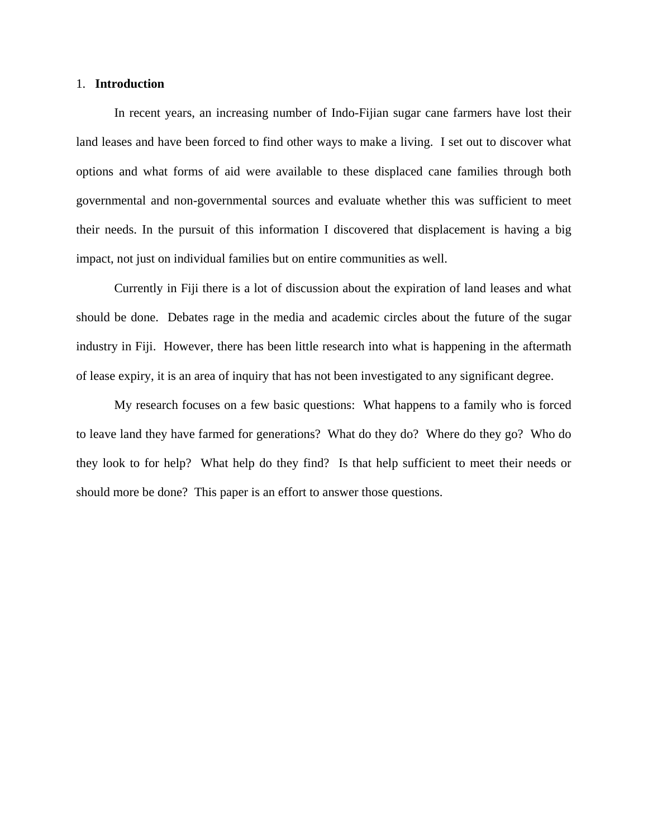#### 1. **Introduction**

 In recent years, an increasing number of Indo-Fijian sugar cane farmers have lost their land leases and have been forced to find other ways to make a living. I set out to discover what options and what forms of aid were available to these displaced cane families through both governmental and non-governmental sources and evaluate whether this was sufficient to meet their needs. In the pursuit of this information I discovered that displacement is having a big impact, not just on individual families but on entire communities as well.

Currently in Fiji there is a lot of discussion about the expiration of land leases and what should be done. Debates rage in the media and academic circles about the future of the sugar industry in Fiji. However, there has been little research into what is happening in the aftermath of lease expiry, it is an area of inquiry that has not been investigated to any significant degree.

My research focuses on a few basic questions: What happens to a family who is forced to leave land they have farmed for generations? What do they do? Where do they go? Who do they look to for help? What help do they find? Is that help sufficient to meet their needs or should more be done? This paper is an effort to answer those questions.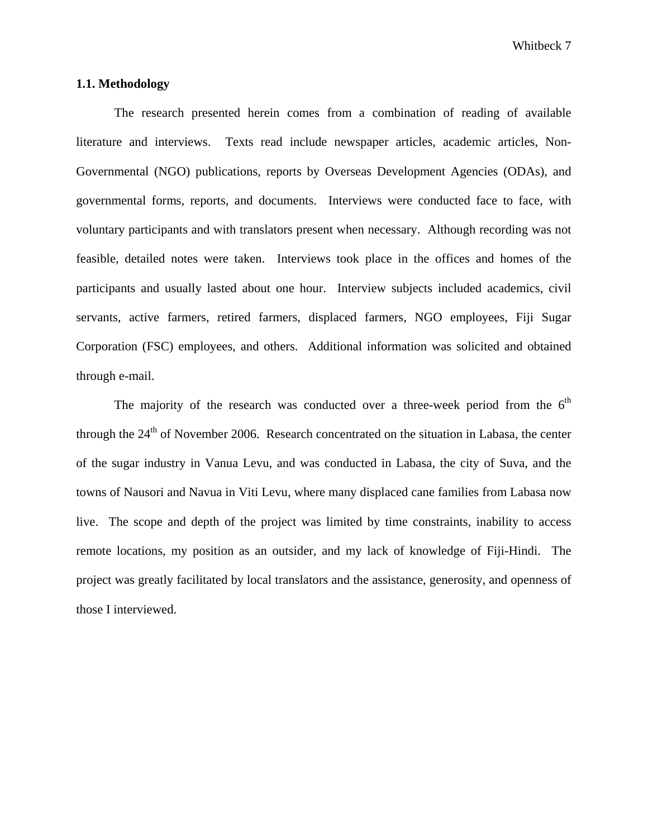#### **1.1. Methodology**

The research presented herein comes from a combination of reading of available literature and interviews. Texts read include newspaper articles, academic articles, Non-Governmental (NGO) publications, reports by Overseas Development Agencies (ODAs), and governmental forms, reports, and documents. Interviews were conducted face to face, with voluntary participants and with translators present when necessary. Although recording was not feasible, detailed notes were taken. Interviews took place in the offices and homes of the participants and usually lasted about one hour. Interview subjects included academics, civil servants, active farmers, retired farmers, displaced farmers, NGO employees, Fiji Sugar Corporation (FSC) employees, and others. Additional information was solicited and obtained through e-mail.

The majority of the research was conducted over a three-week period from the  $6<sup>th</sup>$ through the  $24<sup>th</sup>$  of November 2006. Research concentrated on the situation in Labasa, the center of the sugar industry in Vanua Levu, and was conducted in Labasa, the city of Suva, and the towns of Nausori and Navua in Viti Levu, where many displaced cane families from Labasa now live. The scope and depth of the project was limited by time constraints, inability to access remote locations, my position as an outsider, and my lack of knowledge of Fiji-Hindi. The project was greatly facilitated by local translators and the assistance, generosity, and openness of those I interviewed.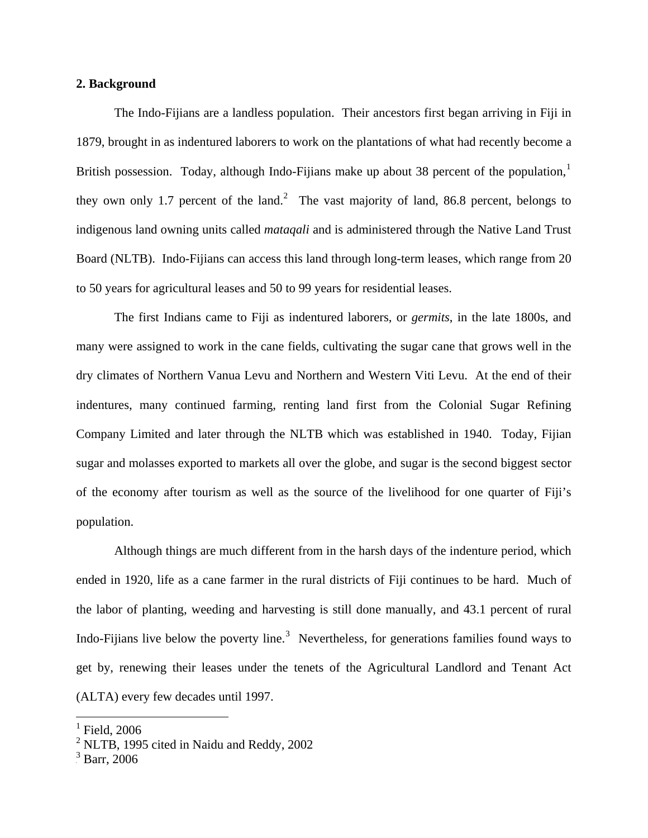#### **2. Background**

 The Indo-Fijians are a landless population. Their ancestors first began arriving in Fiji in 1879, brought in as indentured laborers to work on the plantations of what had recently become a British possession. Today, although Indo-Fijians make up about 38 percent of the population,<sup>[1](#page-8-0)</sup> they own only 1.7 percent of the land.<sup>[2](#page-8-1)</sup> The vast majority of land, 86.8 percent, belongs to indigenous land owning units called *mataqali* and is administered through the Native Land Trust Board (NLTB). Indo-Fijians can access this land through long-term leases, which range from 20 to 50 years for agricultural leases and 50 to 99 years for residential leases.

 The first Indians came to Fiji as indentured laborers, or *germits*, in the late 1800s, and many were assigned to work in the cane fields, cultivating the sugar cane that grows well in the dry climates of Northern Vanua Levu and Northern and Western Viti Levu. At the end of their indentures, many continued farming, renting land first from the Colonial Sugar Refining Company Limited and later through the NLTB which was established in 1940. Today, Fijian sugar and molasses exported to markets all over the globe, and sugar is the second biggest sector of the economy after tourism as well as the source of the livelihood for one quarter of Fiji's population.

Although things are much different from in the harsh days of the indenture period, which ended in 1920, life as a cane farmer in the rural districts of Fiji continues to be hard. Much of the labor of planting, weeding and harvesting is still done manually, and 43.1 percent of rural Indo-Fijians live below the poverty line.<sup>[3](#page-8-2)</sup> Nevertheless, for generations families found ways to get by, renewing their leases under the tenets of the Agricultural Landlord and Tenant Act (ALTA) every few decades until 1997.

<span id="page-8-0"></span> $<sup>1</sup>$  Field, 2006</sup>

<span id="page-8-1"></span> $2^2$  NLTB, 1995 cited in Naidu and Reddy, 2002

<span id="page-8-2"></span> $3$  Barr, 2006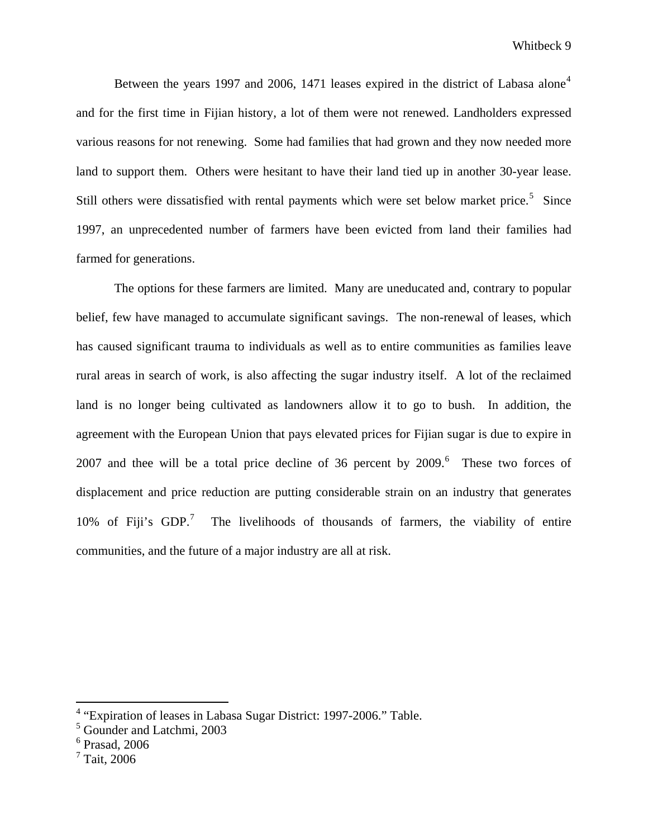Between the years 1997 and 2006, 1[4](#page-9-0)71 leases expired in the district of Labasa alone<sup>4</sup> and for the first time in Fijian history, a lot of them were not renewed. Landholders expressed various reasons for not renewing. Some had families that had grown and they now needed more land to support them. Others were hesitant to have their land tied up in another 30-year lease. Still others were dissatisfied with rental payments which were set below market price.<sup>[5](#page-9-1)</sup> Since 1997, an unprecedented number of farmers have been evicted from land their families had farmed for generations.

The options for these farmers are limited. Many are uneducated and, contrary to popular belief, few have managed to accumulate significant savings. The non-renewal of leases, which has caused significant trauma to individuals as well as to entire communities as families leave rural areas in search of work, is also affecting the sugar industry itself. A lot of the reclaimed land is no longer being cultivated as landowners allow it to go to bush. In addition, the agreement with the European Union that pays elevated prices for Fijian sugar is due to expire in 2007 and thee will be a total price decline of 3[6](#page-9-2) percent by  $2009$ .<sup>6</sup> These two forces of displacement and price reduction are putting considerable strain on an industry that generates 10% of Fiji's  $GDP.^7$  $GDP.^7$  The livelihoods of thousands of farmers, the viability of entire communities, and the future of a major industry are all at risk.

<span id="page-9-0"></span> 4 "Expiration of leases in Labasa Sugar District: 1997-2006." Table.

<span id="page-9-1"></span><sup>5</sup> Gounder and Latchmi, 2003

<span id="page-9-2"></span><sup>6</sup> Prasad, 2006

<span id="page-9-3"></span><sup>7</sup> Tait, 2006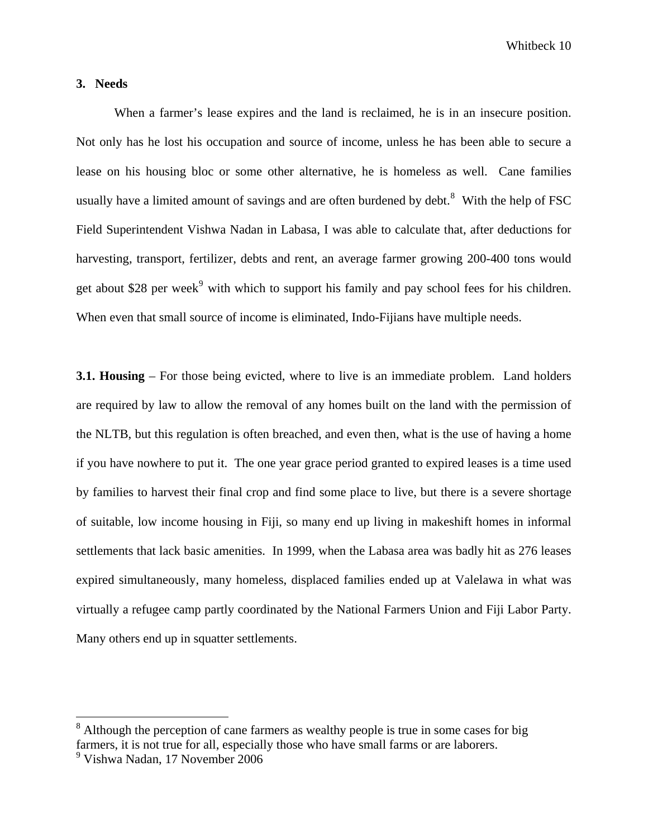## **3. Needs**

When a farmer's lease expires and the land is reclaimed, he is in an insecure position. Not only has he lost his occupation and source of income, unless he has been able to secure a lease on his housing bloc or some other alternative, he is homeless as well. Cane families usually have a limited amount of savings and are often burdened by debt. $8$  With the help of FSC Field Superintendent Vishwa Nadan in Labasa, I was able to calculate that, after deductions for harvesting, transport, fertilizer, debts and rent, an average farmer growing 200-400 tons would get about \$28 per week<sup>[9](#page-10-1)</sup> with which to support his family and pay school fees for his children. When even that small source of income is eliminated, Indo-Fijians have multiple needs.

**3.1. Housing** – For those being evicted, where to live is an immediate problem. Land holders are required by law to allow the removal of any homes built on the land with the permission of the NLTB, but this regulation is often breached, and even then, what is the use of having a home if you have nowhere to put it. The one year grace period granted to expired leases is a time used by families to harvest their final crop and find some place to live, but there is a severe shortage of suitable, low income housing in Fiji, so many end up living in makeshift homes in informal settlements that lack basic amenities. In 1999, when the Labasa area was badly hit as 276 leases expired simultaneously, many homeless, displaced families ended up at Valelawa in what was virtually a refugee camp partly coordinated by the National Farmers Union and Fiji Labor Party. Many others end up in squatter settlements.

<span id="page-10-0"></span> $8$  Although the perception of cane farmers as wealthy people is true in some cases for big farmers, it is not true for all, especially those who have small farms or are laborers.

<span id="page-10-1"></span><sup>9</sup> Vishwa Nadan, 17 November 2006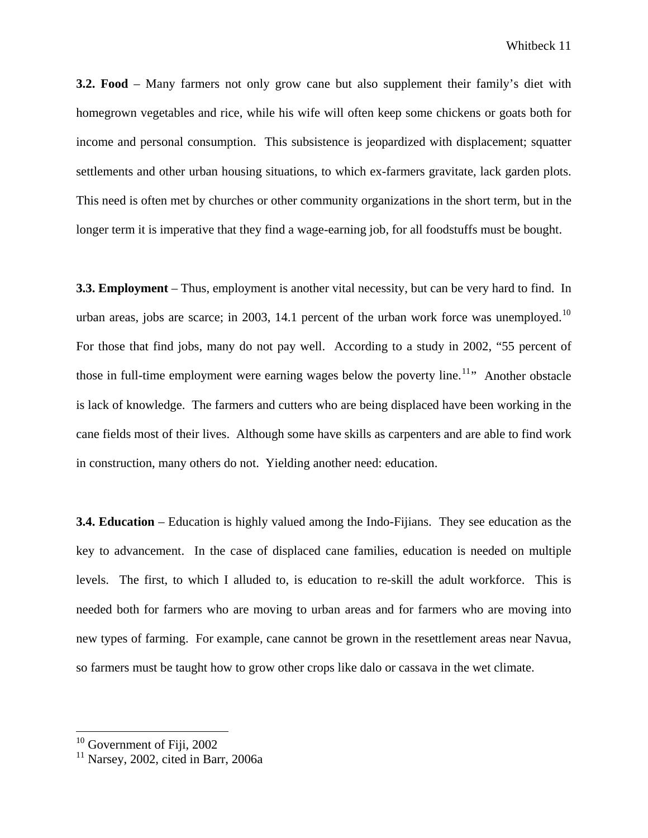**3.2. Food** – Many farmers not only grow cane but also supplement their family's diet with homegrown vegetables and rice, while his wife will often keep some chickens or goats both for income and personal consumption. This subsistence is jeopardized with displacement; squatter settlements and other urban housing situations, to which ex-farmers gravitate, lack garden plots. This need is often met by churches or other community organizations in the short term, but in the longer term it is imperative that they find a wage-earning job, for all foodstuffs must be bought.

**3.3. Employment** – Thus, employment is another vital necessity, but can be very hard to find. In urban areas, jobs are scarce; in 2003, 14.1 percent of the urban work force was unemployed.<sup>10</sup> For those that find jobs, many do not pay well. According to a study in 2002, "55 percent of those in full-time employment were earning wages below the poverty line.<sup>[11](#page-11-1)</sup> Another obstacle is lack of knowledge. The farmers and cutters who are being displaced have been working in the cane fields most of their lives. Although some have skills as carpenters and are able to find work in construction, many others do not. Yielding another need: education.

**3.4. Education** – Education is highly valued among the Indo-Fijians. They see education as the key to advancement. In the case of displaced cane families, education is needed on multiple levels. The first, to which I alluded to, is education to re-skill the adult workforce. This is needed both for farmers who are moving to urban areas and for farmers who are moving into new types of farming. For example, cane cannot be grown in the resettlement areas near Navua, so farmers must be taught how to grow other crops like dalo or cassava in the wet climate.

<span id="page-11-0"></span> $10$  Government of Fiji, 2002

<span id="page-11-1"></span> $11$  Narsey, 2002, cited in Barr, 2006a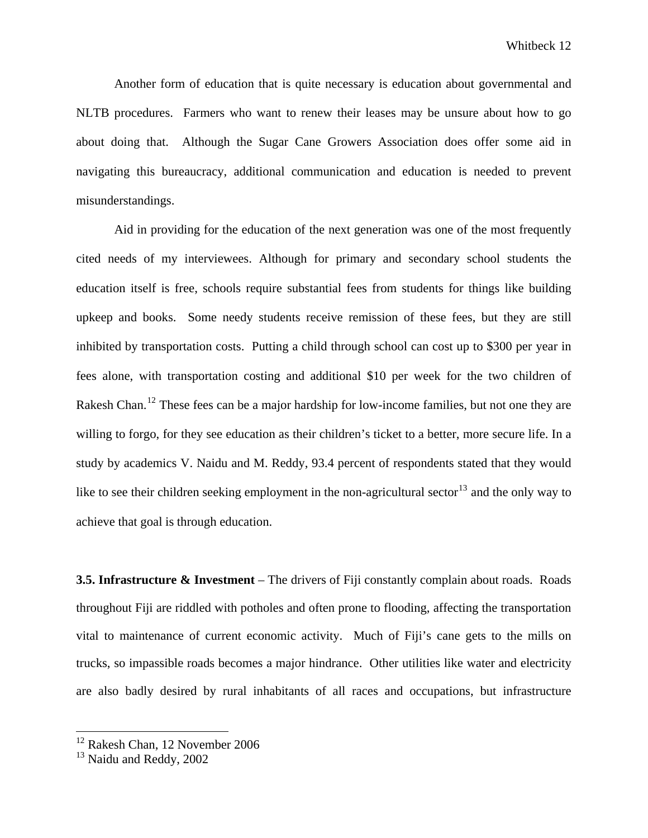Another form of education that is quite necessary is education about governmental and NLTB procedures. Farmers who want to renew their leases may be unsure about how to go about doing that. Although the Sugar Cane Growers Association does offer some aid in navigating this bureaucracy, additional communication and education is needed to prevent misunderstandings.

 Aid in providing for the education of the next generation was one of the most frequently cited needs of my interviewees. Although for primary and secondary school students the education itself is free, schools require substantial fees from students for things like building upkeep and books. Some needy students receive remission of these fees, but they are still inhibited by transportation costs. Putting a child through school can cost up to \$300 per year in fees alone, with transportation costing and additional \$10 per week for the two children of Rakesh Chan.<sup>[12](#page-12-0)</sup> These fees can be a major hardship for low-income families, but not one they are willing to forgo, for they see education as their children's ticket to a better, more secure life. In a study by academics V. Naidu and M. Reddy, 93.4 percent of respondents stated that they would like to see their children seeking employment in the non-agricultural sector<sup>[13](#page-12-1)</sup> and the only way to achieve that goal is through education.

**3.5. Infrastructure & Investment** – The drivers of Fiji constantly complain about roads. Roads throughout Fiji are riddled with potholes and often prone to flooding, affecting the transportation vital to maintenance of current economic activity. Much of Fiji's cane gets to the mills on trucks, so impassible roads becomes a major hindrance. Other utilities like water and electricity are also badly desired by rural inhabitants of all races and occupations, but infrastructure

<span id="page-12-0"></span><sup>&</sup>lt;sup>12</sup> Rakesh Chan, 12 November 2006

<span id="page-12-1"></span> $13$  Naidu and Reddy, 2002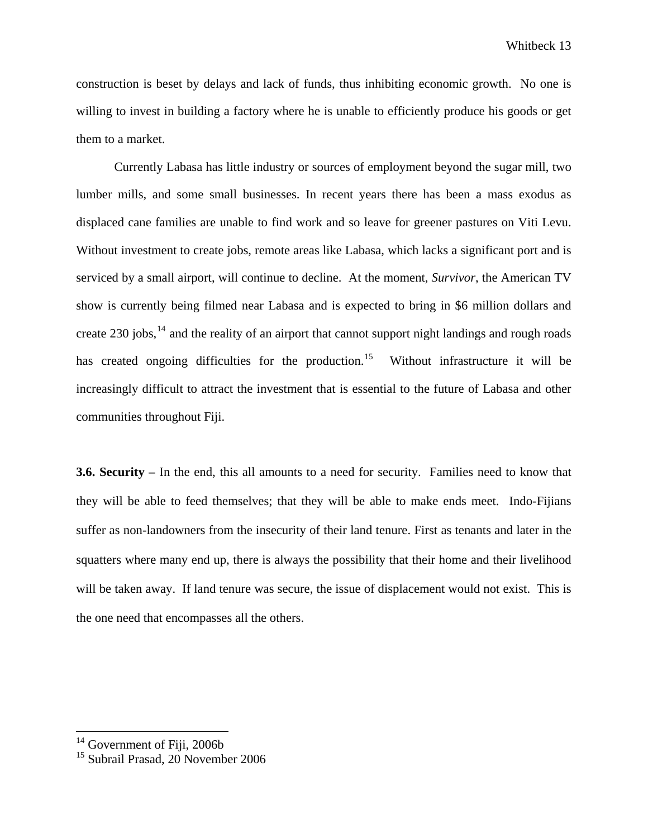construction is beset by delays and lack of funds, thus inhibiting economic growth. No one is willing to invest in building a factory where he is unable to efficiently produce his goods or get them to a market.

Currently Labasa has little industry or sources of employment beyond the sugar mill, two lumber mills, and some small businesses. In recent years there has been a mass exodus as displaced cane families are unable to find work and so leave for greener pastures on Viti Levu. Without investment to create jobs, remote areas like Labasa, which lacks a significant port and is serviced by a small airport, will continue to decline. At the moment, *Survivor*, the American TV show is currently being filmed near Labasa and is expected to bring in \$6 million dollars and create 230 jobs,  $^{14}$  $^{14}$  $^{14}$  and the reality of an airport that cannot support night landings and rough roads has created ongoing difficulties for the production.<sup>[15](#page-13-1)</sup> Without infrastructure it will be increasingly difficult to attract the investment that is essential to the future of Labasa and other communities throughout Fiji.

**3.6. Security –** In the end, this all amounts to a need for security. Families need to know that they will be able to feed themselves; that they will be able to make ends meet. Indo-Fijians suffer as non-landowners from the insecurity of their land tenure. First as tenants and later in the squatters where many end up, there is always the possibility that their home and their livelihood will be taken away. If land tenure was secure, the issue of displacement would not exist. This is the one need that encompasses all the others.

<span id="page-13-0"></span><sup>&</sup>lt;sup>14</sup> Government of Fiji, 2006b

<span id="page-13-1"></span><sup>&</sup>lt;sup>15</sup> Subrail Prasad, 20 November 2006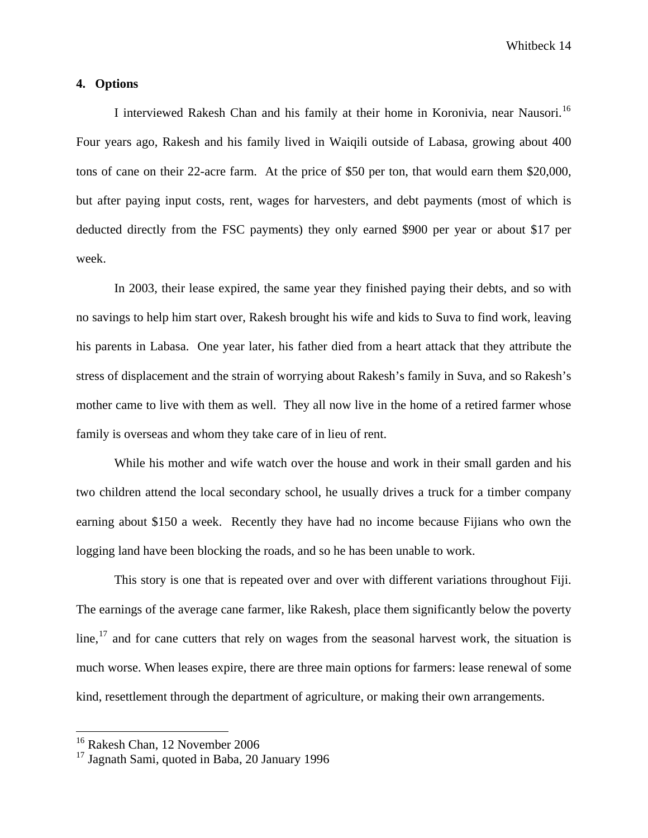#### **4. Options**

 I interviewed Rakesh Chan and his family at their home in Koronivia, near Nausori.[16](#page-14-0)  Four years ago, Rakesh and his family lived in Waiqili outside of Labasa, growing about 400 tons of cane on their 22-acre farm. At the price of \$50 per ton, that would earn them \$20,000, but after paying input costs, rent, wages for harvesters, and debt payments (most of which is deducted directly from the FSC payments) they only earned \$900 per year or about \$17 per week.

 In 2003, their lease expired, the same year they finished paying their debts, and so with no savings to help him start over, Rakesh brought his wife and kids to Suva to find work, leaving his parents in Labasa. One year later, his father died from a heart attack that they attribute the stress of displacement and the strain of worrying about Rakesh's family in Suva, and so Rakesh's mother came to live with them as well. They all now live in the home of a retired farmer whose family is overseas and whom they take care of in lieu of rent.

While his mother and wife watch over the house and work in their small garden and his two children attend the local secondary school, he usually drives a truck for a timber company earning about \$150 a week. Recently they have had no income because Fijians who own the logging land have been blocking the roads, and so he has been unable to work.

This story is one that is repeated over and over with different variations throughout Fiji. The earnings of the average cane farmer, like Rakesh, place them significantly below the poverty  $\lim_{n \to \infty}$  and for cane cutters that rely on wages from the seasonal harvest work, the situation is much worse. When leases expire, there are three main options for farmers: lease renewal of some kind, resettlement through the department of agriculture, or making their own arrangements.

<span id="page-14-0"></span><sup>16</sup> Rakesh Chan, 12 November 2006

<span id="page-14-1"></span> $17$  Jagnath Sami, quoted in Baba, 20 January 1996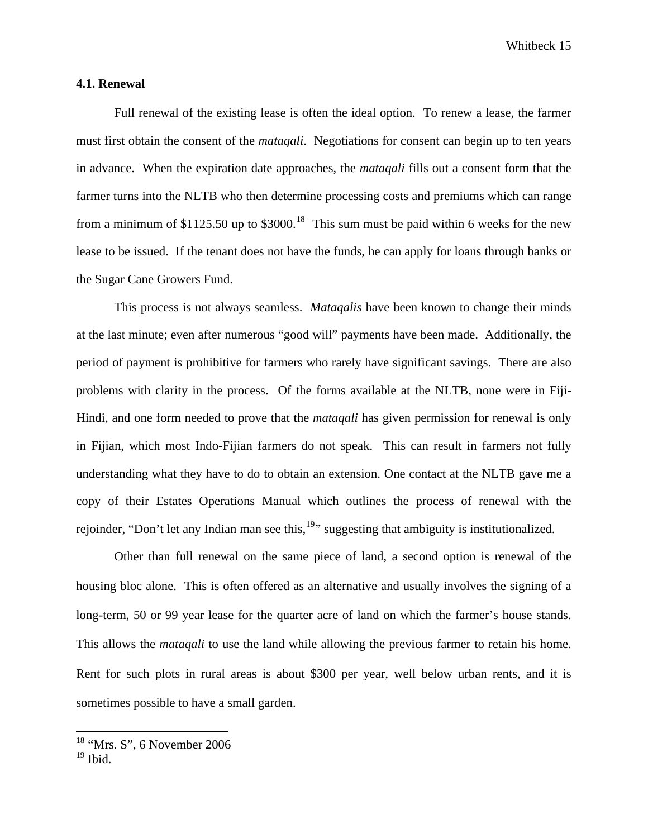#### **4.1. Renewal**

 Full renewal of the existing lease is often the ideal option. To renew a lease, the farmer must first obtain the consent of the *mataqali*. Negotiations for consent can begin up to ten years in advance. When the expiration date approaches, the *mataqali* fills out a consent form that the farmer turns into the NLTB who then determine processing costs and premiums which can range from a minimum of \$1125.50 up to \$3000.<sup>[18](#page-15-0)</sup> This sum must be paid within 6 weeks for the new lease to be issued. If the tenant does not have the funds, he can apply for loans through banks or the Sugar Cane Growers Fund.

This process is not always seamless. *Mataqalis* have been known to change their minds at the last minute; even after numerous "good will" payments have been made. Additionally, the period of payment is prohibitive for farmers who rarely have significant savings. There are also problems with clarity in the process. Of the forms available at the NLTB, none were in Fiji-Hindi, and one form needed to prove that the *mataqali* has given permission for renewal is only in Fijian, which most Indo-Fijian farmers do not speak. This can result in farmers not fully understanding what they have to do to obtain an extension. One contact at the NLTB gave me a copy of their Estates Operations Manual which outlines the process of renewal with the rejoinder, "Don't let any Indian man see this,<sup>[19](#page-15-1)</sup>" suggesting that ambiguity is institutionalized.

Other than full renewal on the same piece of land, a second option is renewal of the housing bloc alone. This is often offered as an alternative and usually involves the signing of a long-term, 50 or 99 year lease for the quarter acre of land on which the farmer's house stands. This allows the *mataqali* to use the land while allowing the previous farmer to retain his home. Rent for such plots in rural areas is about \$300 per year, well below urban rents, and it is sometimes possible to have a small garden.

 $18$  "Mrs. S", 6 November 2006

<span id="page-15-1"></span><span id="page-15-0"></span> $19$  Ibid.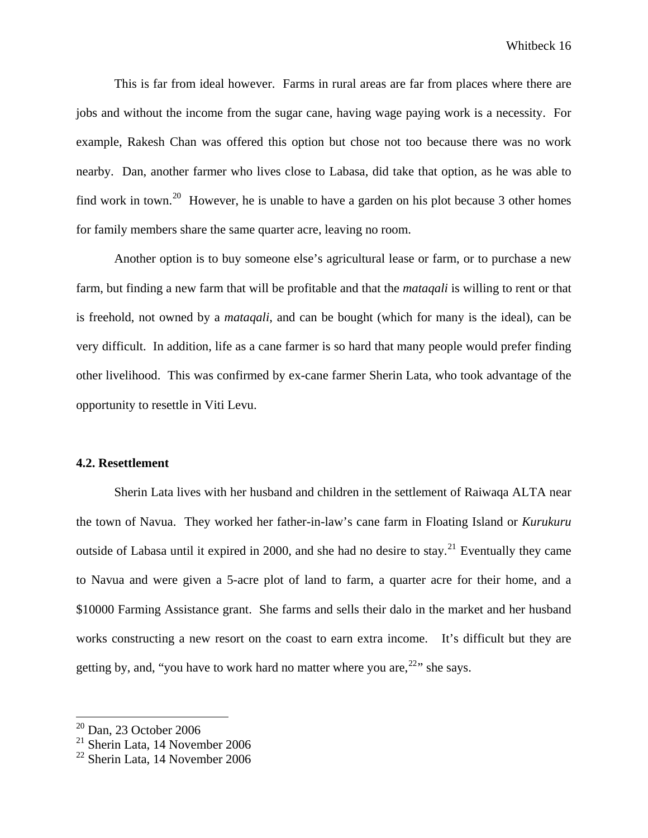This is far from ideal however. Farms in rural areas are far from places where there are jobs and without the income from the sugar cane, having wage paying work is a necessity. For example, Rakesh Chan was offered this option but chose not too because there was no work nearby. Dan, another farmer who lives close to Labasa, did take that option, as he was able to find work in town.<sup>[20](#page-16-0)</sup> However, he is unable to have a garden on his plot because 3 other homes for family members share the same quarter acre, leaving no room.

Another option is to buy someone else's agricultural lease or farm, or to purchase a new farm, but finding a new farm that will be profitable and that the *mataqali* is willing to rent or that is freehold, not owned by a *mataqali*, and can be bought (which for many is the ideal), can be very difficult. In addition, life as a cane farmer is so hard that many people would prefer finding other livelihood. This was confirmed by ex-cane farmer Sherin Lata, who took advantage of the opportunity to resettle in Viti Levu.

#### **4.2. Resettlement**

Sherin Lata lives with her husband and children in the settlement of Raiwaqa ALTA near the town of Navua. They worked her father-in-law's cane farm in Floating Island or *Kurukuru* outside of Labasa until it expired in 2000, and she had no desire to stay.<sup>[21](#page-16-1)</sup> Eventually they came to Navua and were given a 5-acre plot of land to farm, a quarter acre for their home, and a \$10000 Farming Assistance grant. She farms and sells their dalo in the market and her husband works constructing a new resort on the coast to earn extra income. It's difficult but they are getting by, and, "you have to work hard no matter where you are,  $22$ " she says.

 $20$  Dan, 23 October 2006

<span id="page-16-1"></span><span id="page-16-0"></span> $21$  Sherin Lata, 14 November 2006

<span id="page-16-2"></span> $22$  Sherin Lata, 14 November 2006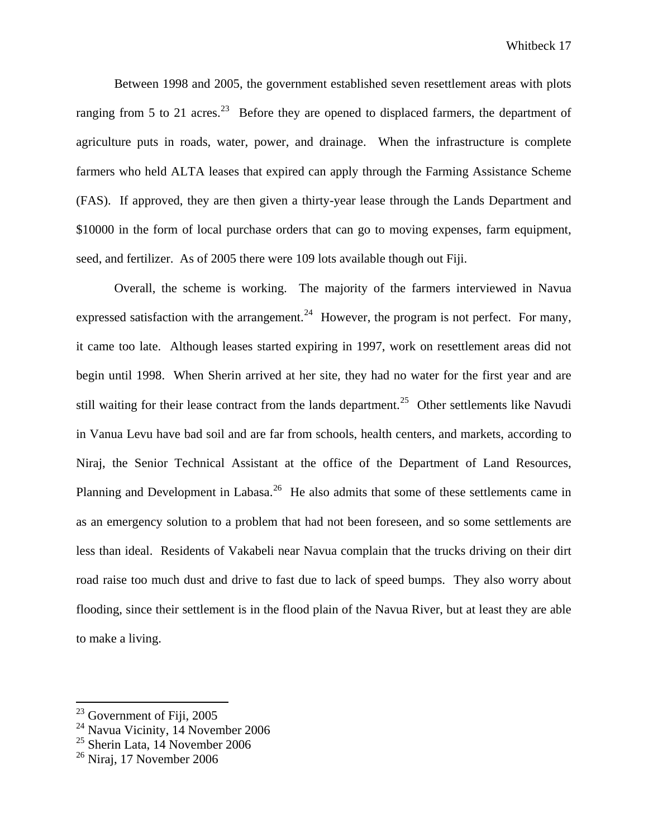Between 1998 and 2005, the government established seven resettlement areas with plots ranging from 5 to 21 acres.<sup>[23](#page-17-0)</sup> Before they are opened to displaced farmers, the department of agriculture puts in roads, water, power, and drainage. When the infrastructure is complete farmers who held ALTA leases that expired can apply through the Farming Assistance Scheme (FAS). If approved, they are then given a thirty-year lease through the Lands Department and \$10000 in the form of local purchase orders that can go to moving expenses, farm equipment, seed, and fertilizer. As of 2005 there were 109 lots available though out Fiji.

Overall, the scheme is working. The majority of the farmers interviewed in Navua expressed satisfaction with the arrangement.<sup>[24](#page-17-1)</sup> However, the program is not perfect. For many, it came too late. Although leases started expiring in 1997, work on resettlement areas did not begin until 1998. When Sherin arrived at her site, they had no water for the first year and are still waiting for their lease contract from the lands department.<sup>[25](#page-17-2)</sup> Other settlements like Navudi in Vanua Levu have bad soil and are far from schools, health centers, and markets, according to Niraj, the Senior Technical Assistant at the office of the Department of Land Resources, Planning and Development in Labasa.<sup>[26](#page-17-3)</sup> He also admits that some of these settlements came in as an emergency solution to a problem that had not been foreseen, and so some settlements are less than ideal. Residents of Vakabeli near Navua complain that the trucks driving on their dirt road raise too much dust and drive to fast due to lack of speed bumps. They also worry about flooding, since their settlement is in the flood plain of the Navua River, but at least they are able to make a living.

<span id="page-17-0"></span> $23$  Government of Fiji, 2005

<span id="page-17-1"></span><sup>&</sup>lt;sup>24</sup> Navua Vicinity, 14 November 2006

<span id="page-17-2"></span> $25$  Sherin Lata, 14 November 2006

<span id="page-17-3"></span> $26$  Nirai, 17 November 2006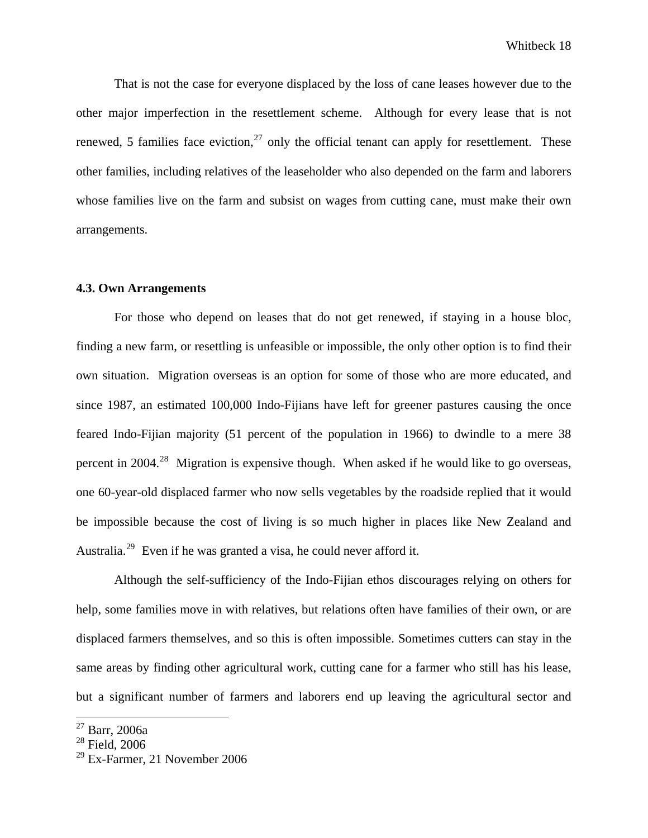That is not the case for everyone displaced by the loss of cane leases however due to the other major imperfection in the resettlement scheme. Although for every lease that is not renewed, 5 families face eviction,  $27$  only the official tenant can apply for resettlement. These other families, including relatives of the leaseholder who also depended on the farm and laborers whose families live on the farm and subsist on wages from cutting cane, must make their own arrangements.

## **4.3. Own Arrangements**

For those who depend on leases that do not get renewed, if staying in a house bloc, finding a new farm, or resettling is unfeasible or impossible, the only other option is to find their own situation. Migration overseas is an option for some of those who are more educated, and since 1987, an estimated 100,000 Indo-Fijians have left for greener pastures causing the once feared Indo-Fijian majority (51 percent of the population in 1966) to dwindle to a mere 38 percent in 2004.<sup>[28](#page-18-1)</sup> Migration is expensive though. When asked if he would like to go overseas, one 60-year-old displaced farmer who now sells vegetables by the roadside replied that it would be impossible because the cost of living is so much higher in places like New Zealand and Australia.[29](#page-18-2) Even if he was granted a visa, he could never afford it.

Although the self-sufficiency of the Indo-Fijian ethos discourages relying on others for help, some families move in with relatives, but relations often have families of their own, or are displaced farmers themselves, and so this is often impossible. Sometimes cutters can stay in the same areas by finding other agricultural work, cutting cane for a farmer who still has his lease, but a significant number of farmers and laborers end up leaving the agricultural sector and

<span id="page-18-0"></span><sup>27</sup> Barr, 2006a

<span id="page-18-1"></span><sup>28</sup> Field, 2006

<span id="page-18-2"></span> $29$  Ex-Farmer, 21 November 2006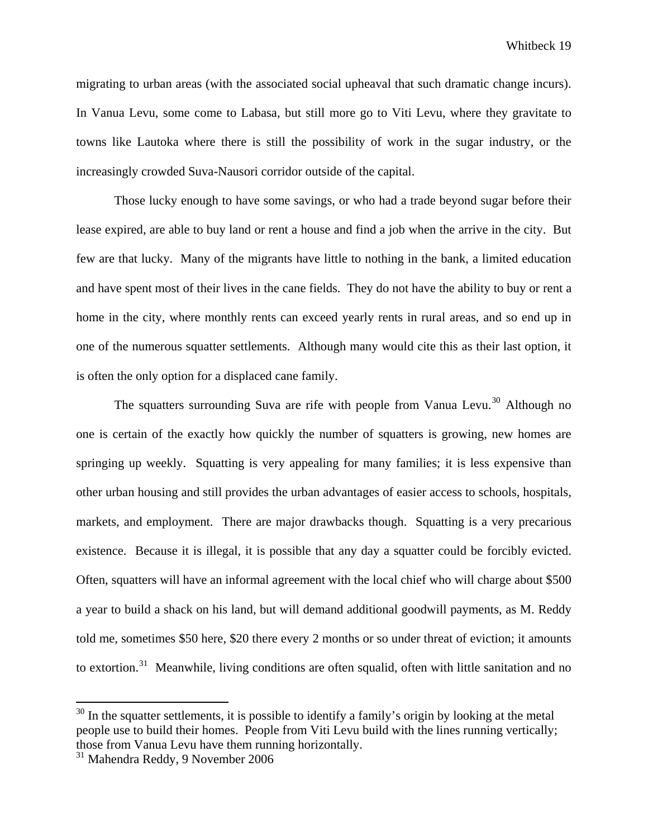migrating to urban areas (with the associated social upheaval that such dramatic change incurs). In Vanua Levu, some come to Labasa, but still more go to Viti Levu, where they gravitate to towns like Lautoka where there is still the possibility of work in the sugar industry, or the increasingly crowded Suva-Nausori corridor outside of the capital.

Those lucky enough to have some savings, or who had a trade beyond sugar before their lease expired, are able to buy land or rent a house and find a job when the arrive in the city. But few are that lucky. Many of the migrants have little to nothing in the bank, a limited education and have spent most of their lives in the cane fields. They do not have the ability to buy or rent a home in the city, where monthly rents can exceed yearly rents in rural areas, and so end up in one of the numerous squatter settlements. Although many would cite this as their last option, it is often the only option for a displaced cane family.

The squatters surrounding Suva are rife with people from Vanua Levu.<sup>[30](#page-19-0)</sup> Although no one is certain of the exactly how quickly the number of squatters is growing, new homes are springing up weekly. Squatting is very appealing for many families; it is less expensive than other urban housing and still provides the urban advantages of easier access to schools, hospitals, markets, and employment. There are major drawbacks though. Squatting is a very precarious existence. Because it is illegal, it is possible that any day a squatter could be forcibly evicted. Often, squatters will have an informal agreement with the local chief who will charge about \$500 a year to build a shack on his land, but will demand additional goodwill payments, as M. Reddy told me, sometimes \$50 here, \$20 there every 2 months or so under threat of eviction; it amounts to extortion.<sup>[31](#page-19-1)</sup> Meanwhile, living conditions are often squalid, often with little sanitation and no

<span id="page-19-0"></span> $30$  In the squatter settlements, it is possible to identify a family's origin by looking at the metal people use to build their homes. People from Viti Levu build with the lines running vertically; those from Vanua Levu have them running horizontally.

<span id="page-19-1"></span><sup>31</sup> Mahendra Reddy, 9 November 2006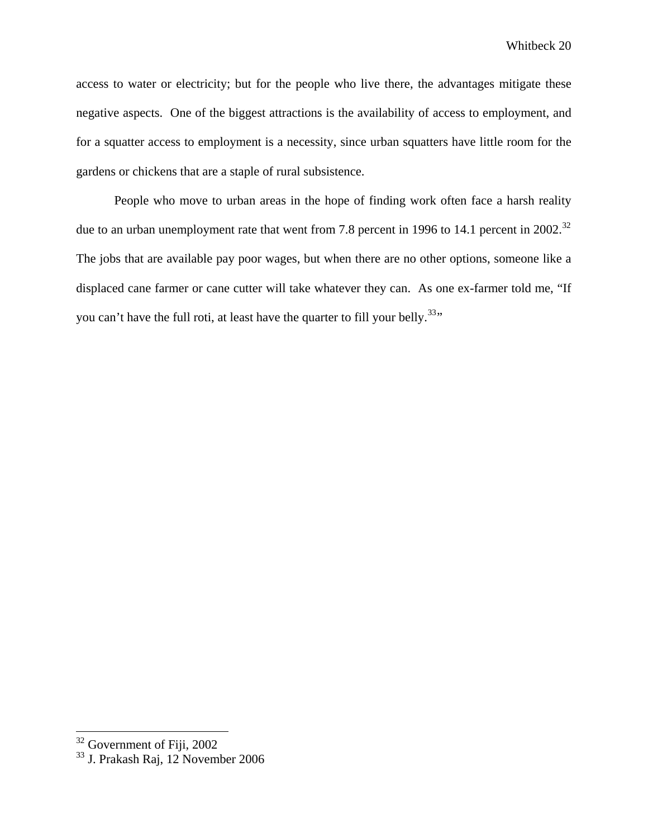access to water or electricity; but for the people who live there, the advantages mitigate these negative aspects. One of the biggest attractions is the availability of access to employment, and for a squatter access to employment is a necessity, since urban squatters have little room for the gardens or chickens that are a staple of rural subsistence.

People who move to urban areas in the hope of finding work often face a harsh reality due to an urban unemployment rate that went from 7.8 percent in 1996 to 14.1 percent in 2002.<sup>32</sup> The jobs that are available pay poor wages, but when there are no other options, someone like a displaced cane farmer or cane cutter will take whatever they can. As one ex-farmer told me, "If you can't have the full roti, at least have the quarter to fill your belly.<sup>[33](#page-20-1)</sup>"

<span id="page-20-0"></span> $32$  Government of Fiji, 2002

<span id="page-20-1"></span> $33$  J. Prakash Raj, 12 November 2006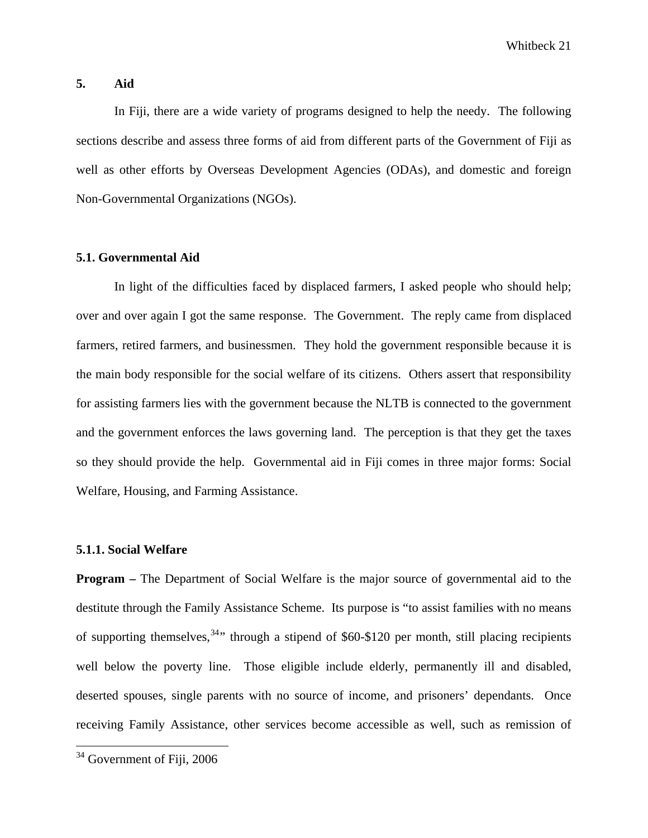#### **5. Aid**

In Fiji, there are a wide variety of programs designed to help the needy. The following sections describe and assess three forms of aid from different parts of the Government of Fiji as well as other efforts by Overseas Development Agencies (ODAs), and domestic and foreign Non-Governmental Organizations (NGOs).

#### **5.1. Governmental Aid**

In light of the difficulties faced by displaced farmers, I asked people who should help; over and over again I got the same response. The Government. The reply came from displaced farmers, retired farmers, and businessmen. They hold the government responsible because it is the main body responsible for the social welfare of its citizens. Others assert that responsibility for assisting farmers lies with the government because the NLTB is connected to the government and the government enforces the laws governing land. The perception is that they get the taxes so they should provide the help. Governmental aid in Fiji comes in three major forms: Social Welfare, Housing, and Farming Assistance.

## **5.1.1. Social Welfare**

**Program –** The Department of Social Welfare is the major source of governmental aid to the destitute through the Family Assistance Scheme. Its purpose is "to assist families with no means of supporting themselves,  $34$ <sup>34</sup> through a stipend of \$60-\$120 per month, still placing recipients well below the poverty line. Those eligible include elderly, permanently ill and disabled, deserted spouses, single parents with no source of income, and prisoners' dependants. Once receiving Family Assistance, other services become accessible as well, such as remission of

<span id="page-21-0"></span> $34$  Government of Fiii, 2006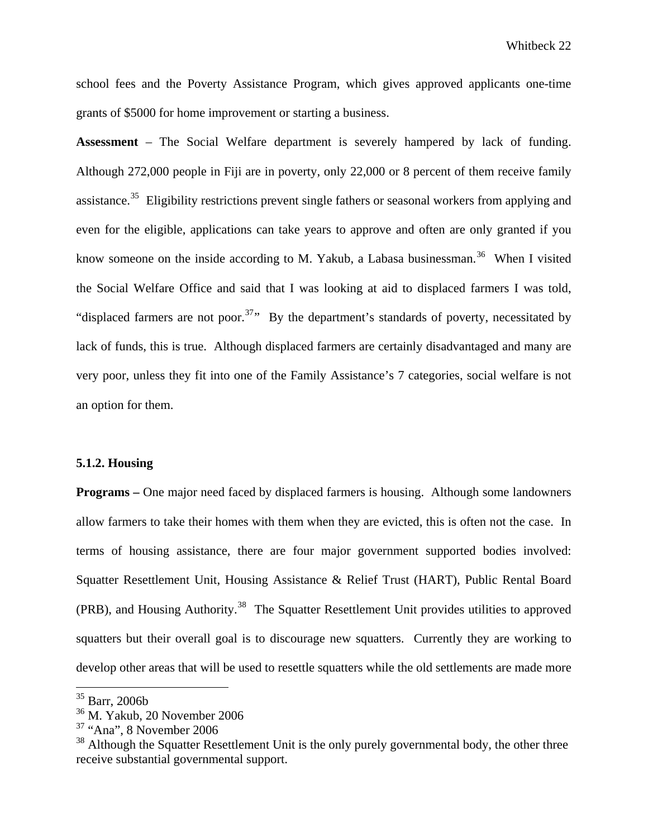school fees and the Poverty Assistance Program, which gives approved applicants one-time grants of \$5000 for home improvement or starting a business.

**Assessment** – The Social Welfare department is severely hampered by lack of funding. Although 272,000 people in Fiji are in poverty, only 22,000 or 8 percent of them receive family assistance.<sup>[35](#page-22-0)</sup> Eligibility restrictions prevent single fathers or seasonal workers from applying and even for the eligible, applications can take years to approve and often are only granted if you know someone on the inside according to M. Yakub, a Labasa businessman.<sup>[36](#page-22-1)</sup> When I visited the Social Welfare Office and said that I was looking at aid to displaced farmers I was told, "displaced farmers are not poor.<sup>[37](#page-22-2)</sup>" By the department's standards of poverty, necessitated by lack of funds, this is true. Although displaced farmers are certainly disadvantaged and many are very poor, unless they fit into one of the Family Assistance's 7 categories, social welfare is not an option for them.

#### **5.1.2. Housing**

**Programs** – One major need faced by displaced farmers is housing. Although some landowners allow farmers to take their homes with them when they are evicted, this is often not the case. In terms of housing assistance, there are four major government supported bodies involved: Squatter Resettlement Unit, Housing Assistance & Relief Trust (HART), Public Rental Board (PRB), and Housing Authority.<sup>[38](#page-22-3)</sup> The Squatter Resettlement Unit provides utilities to approved squatters but their overall goal is to discourage new squatters. Currently they are working to develop other areas that will be used to resettle squatters while the old settlements are made more

<sup>35</sup> Barr, 2006b

<span id="page-22-1"></span><span id="page-22-0"></span><sup>36</sup> M. Yakub, 20 November 2006

<span id="page-22-2"></span> $37$  "Ana", 8 November 2006

<span id="page-22-3"></span><sup>&</sup>lt;sup>38</sup> Although the Squatter Resettlement Unit is the only purely governmental body, the other three receive substantial governmental support.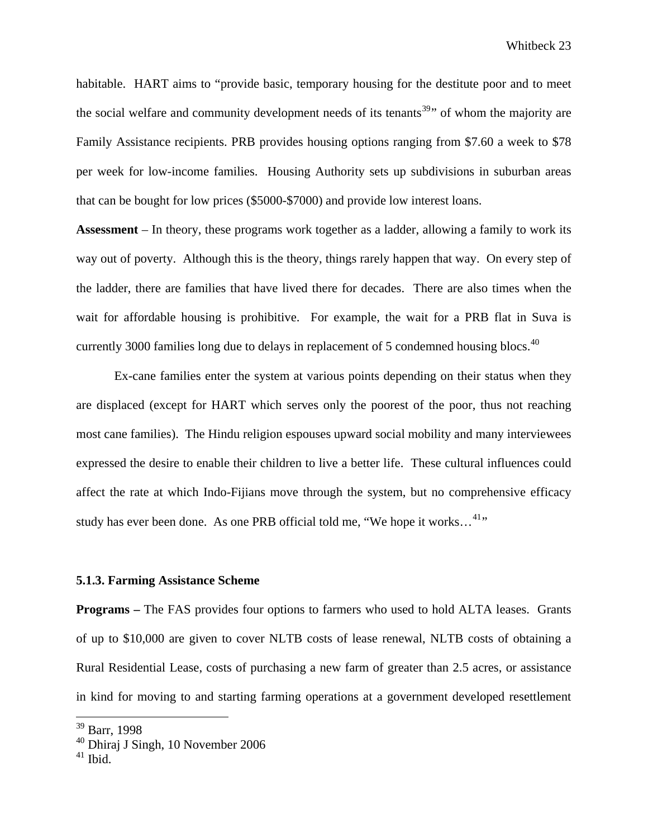habitable. HART aims to "provide basic, temporary housing for the destitute poor and to meet the social welfare and community development needs of its tenants<sup>[39](#page-23-0)</sup> $\cdot$  of whom the majority are Family Assistance recipients. PRB provides housing options ranging from \$7.60 a week to \$78 per week for low-income families. Housing Authority sets up subdivisions in suburban areas that can be bought for low prices (\$5000-\$7000) and provide low interest loans.

**Assessment** – In theory, these programs work together as a ladder, allowing a family to work its way out of poverty. Although this is the theory, things rarely happen that way. On every step of the ladder, there are families that have lived there for decades. There are also times when the wait for affordable housing is prohibitive. For example, the wait for a PRB flat in Suva is currently 3000 families long due to delays in replacement of 5 condemned housing blocs.<sup>[40](#page-23-1)</sup>

 Ex-cane families enter the system at various points depending on their status when they are displaced (except for HART which serves only the poorest of the poor, thus not reaching most cane families). The Hindu religion espouses upward social mobility and many interviewees expressed the desire to enable their children to live a better life. These cultural influences could affect the rate at which Indo-Fijians move through the system, but no comprehensive efficacy study has ever been done. As one PRB official told me, "We hope it works...<sup>[41](#page-23-2)</sup>"

#### **5.1.3. Farming Assistance Scheme**

**Programs –** The FAS provides four options to farmers who used to hold ALTA leases. Grants of up to \$10,000 are given to cover NLTB costs of lease renewal, NLTB costs of obtaining a Rural Residential Lease, costs of purchasing a new farm of greater than 2.5 acres, or assistance in kind for moving to and starting farming operations at a government developed resettlement

<sup>&</sup>lt;sup>39</sup> Barr, 1998

<span id="page-23-1"></span><span id="page-23-0"></span><sup>40</sup> Dhiraj J Singh, 10 November 2006

<span id="page-23-2"></span> $41$  Ibid.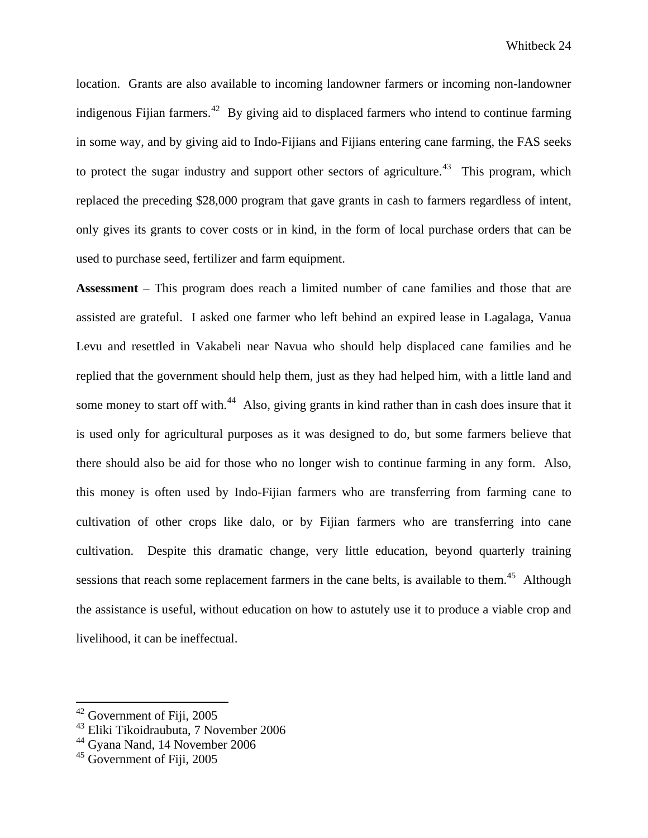location. Grants are also available to incoming landowner farmers or incoming non-landowner indigenous Fijian farmers.<sup>[42](#page-24-0)</sup> By giving aid to displaced farmers who intend to continue farming in some way, and by giving aid to Indo-Fijians and Fijians entering cane farming, the FAS seeks to protect the sugar industry and support other sectors of agriculture.<sup>[43](#page-24-1)</sup> This program, which replaced the preceding \$28,000 program that gave grants in cash to farmers regardless of intent, only gives its grants to cover costs or in kind, in the form of local purchase orders that can be used to purchase seed, fertilizer and farm equipment.

**Assessment** – This program does reach a limited number of cane families and those that are assisted are grateful. I asked one farmer who left behind an expired lease in Lagalaga, Vanua Levu and resettled in Vakabeli near Navua who should help displaced cane families and he replied that the government should help them, just as they had helped him, with a little land and some money to start off with.<sup>[44](#page-24-2)</sup> Also, giving grants in kind rather than in cash does insure that it is used only for agricultural purposes as it was designed to do, but some farmers believe that there should also be aid for those who no longer wish to continue farming in any form. Also, this money is often used by Indo-Fijian farmers who are transferring from farming cane to cultivation of other crops like dalo, or by Fijian farmers who are transferring into cane cultivation. Despite this dramatic change, very little education, beyond quarterly training sessions that reach some replacement farmers in the cane belts, is available to them.<sup>[45](#page-24-3)</sup> Although the assistance is useful, without education on how to astutely use it to produce a viable crop and livelihood, it can be ineffectual.

<span id="page-24-0"></span><sup>42</sup> Government of Fiji, 2005

<span id="page-24-1"></span><sup>43</sup> Eliki Tikoidraubuta, 7 November 2006

<span id="page-24-2"></span><sup>&</sup>lt;sup>44</sup> Gyana Nand, 14 November 2006

<span id="page-24-3"></span> $45$  Government of Fiii, 2005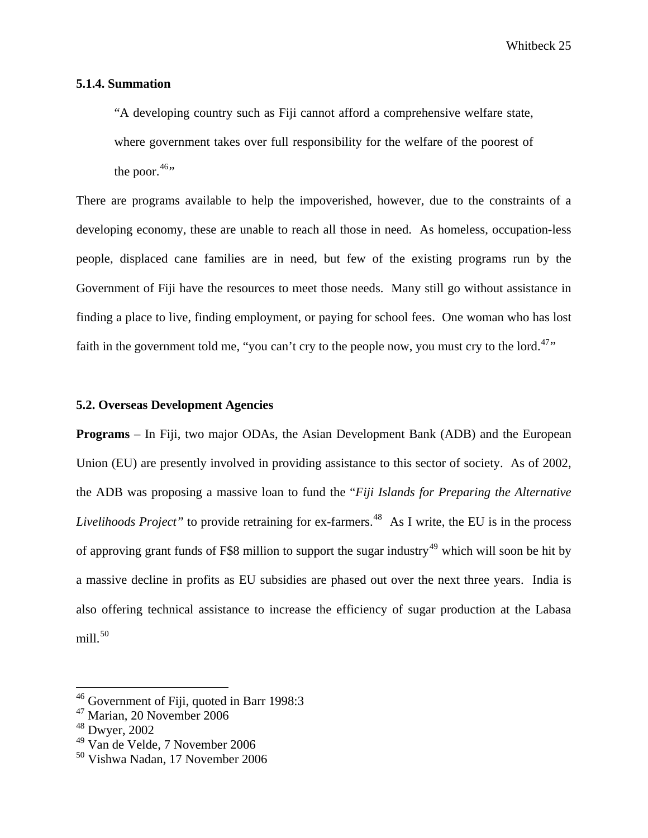#### **5.1.4. Summation**

"A developing country such as Fiji cannot afford a comprehensive welfare state, where government takes over full responsibility for the welfare of the poorest of the poor. $46$ <sup>to</sup>

There are programs available to help the impoverished, however, due to the constraints of a developing economy, these are unable to reach all those in need. As homeless, occupation-less people, displaced cane families are in need, but few of the existing programs run by the Government of Fiji have the resources to meet those needs. Many still go without assistance in finding a place to live, finding employment, or paying for school fees. One woman who has lost faith in the government told me, "you can't cry to the people now, you must cry to the lord.<sup>[47](#page-25-1)</sup>"

#### **5.2. Overseas Development Agencies**

**Programs** – In Fiji, two major ODAs, the Asian Development Bank (ADB) and the European Union (EU) are presently involved in providing assistance to this sector of society. As of 2002, the ADB was proposing a massive loan to fund the "*Fiji Islands for Preparing the Alternative Livelihoods Project"* to provide retraining for ex-farmers.<sup>[48](#page-25-2)</sup> As I write, the EU is in the process of approving grant funds of F\$8 million to support the sugar industry<sup>[49](#page-25-3)</sup> which will soon be hit by a massive decline in profits as EU subsidies are phased out over the next three years. India is also offering technical assistance to increase the efficiency of sugar production at the Labasa  $m$ ill. $50$ 

<sup>&</sup>lt;sup>46</sup> Government of Fiji, quoted in Barr 1998:3

<span id="page-25-1"></span><span id="page-25-0"></span><sup>47</sup> Marian, 20 November 2006

<span id="page-25-2"></span><sup>48</sup> Dwyer, 2002

<span id="page-25-3"></span><sup>49</sup> Van de Velde, 7 November 2006

<span id="page-25-4"></span><sup>50</sup> Vishwa Nadan, 17 November 2006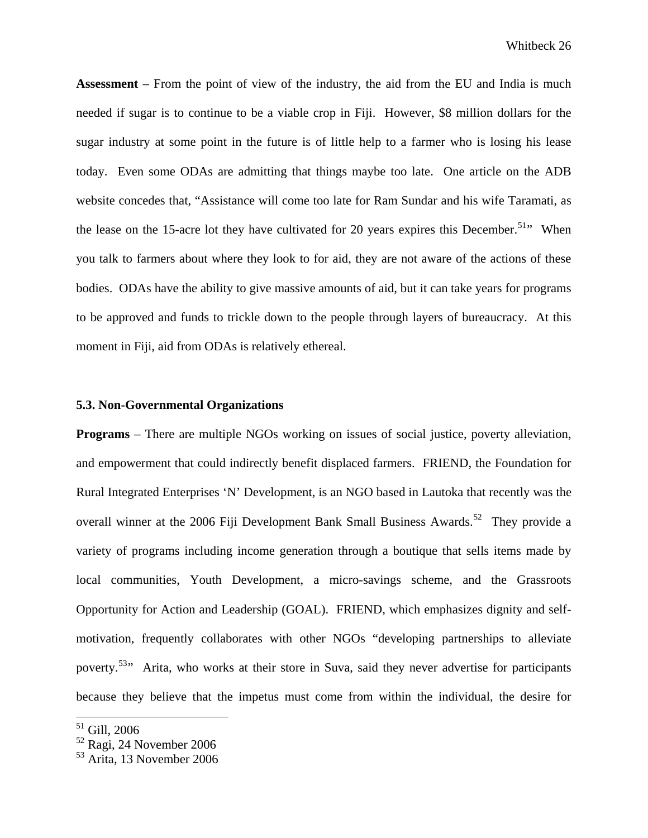**Assessment** – From the point of view of the industry, the aid from the EU and India is much needed if sugar is to continue to be a viable crop in Fiji. However, \$8 million dollars for the sugar industry at some point in the future is of little help to a farmer who is losing his lease today. Even some ODAs are admitting that things maybe too late. One article on the ADB website concedes that, "Assistance will come too late for Ram Sundar and his wife Taramati, as the lease on the 15-acre lot they have cultivated for 20 years expires this December.<sup>51</sup>" When you talk to farmers about where they look to for aid, they are not aware of the actions of these bodies. ODAs have the ability to give massive amounts of aid, but it can take years for programs to be approved and funds to trickle down to the people through layers of bureaucracy. At this moment in Fiji, aid from ODAs is relatively ethereal.

#### **5.3. Non-Governmental Organizations**

**Programs** – There are multiple NGOs working on issues of social justice, poverty alleviation, and empowerment that could indirectly benefit displaced farmers. FRIEND, the Foundation for Rural Integrated Enterprises 'N' Development, is an NGO based in Lautoka that recently was the overall winner at the 2006 Fiji Development Bank Small Business Awards.<sup>[52](#page-26-1)</sup> They provide a variety of programs including income generation through a boutique that sells items made by local communities, Youth Development, a micro-savings scheme, and the Grassroots Opportunity for Action and Leadership (GOAL). FRIEND, which emphasizes dignity and selfmotivation, frequently collaborates with other NGOs "developing partnerships to alleviate poverty.<sup>[53](#page-26-2)</sup><sup>,</sup> Arita, who works at their store in Suva, said they never advertise for participants because they believe that the impetus must come from within the individual, the desire for

<span id="page-26-0"></span> $51$  Gill, 2006

<span id="page-26-1"></span> $\frac{52}{12}$  Ragi, 24 November 2006

<span id="page-26-2"></span><sup>53</sup> Arita, 13 November 2006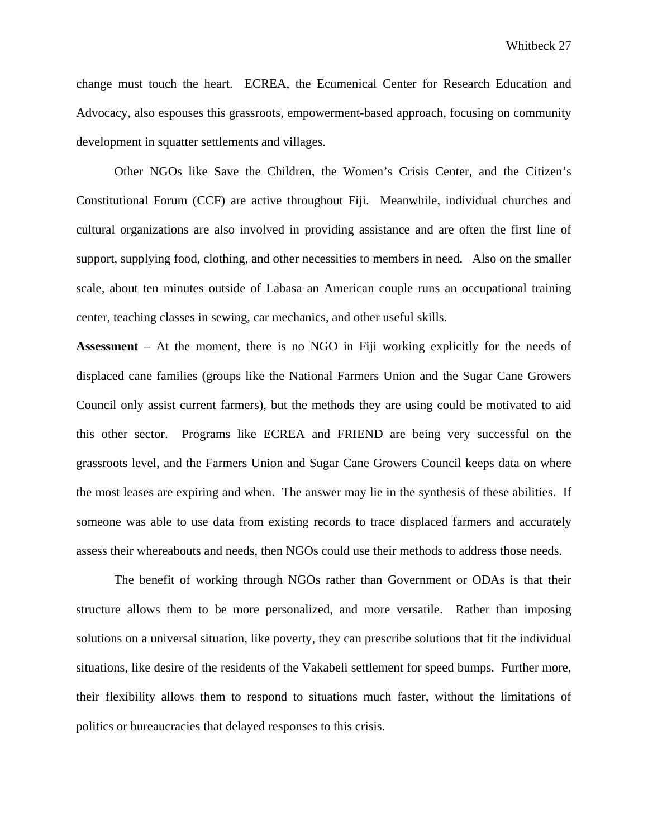change must touch the heart. ECREA, the Ecumenical Center for Research Education and Advocacy, also espouses this grassroots, empowerment-based approach, focusing on community development in squatter settlements and villages.

Other NGOs like Save the Children, the Women's Crisis Center, and the Citizen's Constitutional Forum (CCF) are active throughout Fiji. Meanwhile, individual churches and cultural organizations are also involved in providing assistance and are often the first line of support, supplying food, clothing, and other necessities to members in need. Also on the smaller scale, about ten minutes outside of Labasa an American couple runs an occupational training center, teaching classes in sewing, car mechanics, and other useful skills.

**Assessment** – At the moment, there is no NGO in Fiji working explicitly for the needs of displaced cane families (groups like the National Farmers Union and the Sugar Cane Growers Council only assist current farmers), but the methods they are using could be motivated to aid this other sector. Programs like ECREA and FRIEND are being very successful on the grassroots level, and the Farmers Union and Sugar Cane Growers Council keeps data on where the most leases are expiring and when. The answer may lie in the synthesis of these abilities. If someone was able to use data from existing records to trace displaced farmers and accurately assess their whereabouts and needs, then NGOs could use their methods to address those needs.

The benefit of working through NGOs rather than Government or ODAs is that their structure allows them to be more personalized, and more versatile. Rather than imposing solutions on a universal situation, like poverty, they can prescribe solutions that fit the individual situations, like desire of the residents of the Vakabeli settlement for speed bumps. Further more, their flexibility allows them to respond to situations much faster, without the limitations of politics or bureaucracies that delayed responses to this crisis.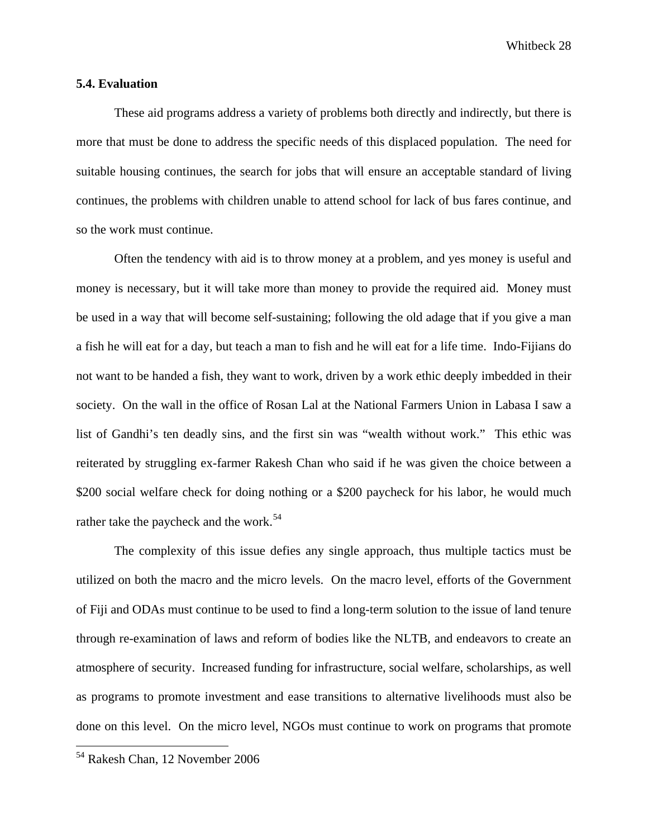#### **5.4. Evaluation**

 These aid programs address a variety of problems both directly and indirectly, but there is more that must be done to address the specific needs of this displaced population. The need for suitable housing continues, the search for jobs that will ensure an acceptable standard of living continues, the problems with children unable to attend school for lack of bus fares continue, and so the work must continue.

Often the tendency with aid is to throw money at a problem, and yes money is useful and money is necessary, but it will take more than money to provide the required aid. Money must be used in a way that will become self-sustaining; following the old adage that if you give a man a fish he will eat for a day, but teach a man to fish and he will eat for a life time. Indo-Fijians do not want to be handed a fish, they want to work, driven by a work ethic deeply imbedded in their society. On the wall in the office of Rosan Lal at the National Farmers Union in Labasa I saw a list of Gandhi's ten deadly sins, and the first sin was "wealth without work." This ethic was reiterated by struggling ex-farmer Rakesh Chan who said if he was given the choice between a \$200 social welfare check for doing nothing or a \$200 paycheck for his labor, he would much rather take the paycheck and the work.<sup>[54](#page-28-0)</sup>

 The complexity of this issue defies any single approach, thus multiple tactics must be utilized on both the macro and the micro levels. On the macro level, efforts of the Government of Fiji and ODAs must continue to be used to find a long-term solution to the issue of land tenure through re-examination of laws and reform of bodies like the NLTB, and endeavors to create an atmosphere of security. Increased funding for infrastructure, social welfare, scholarships, as well as programs to promote investment and ease transitions to alternative livelihoods must also be done on this level. On the micro level, NGOs must continue to work on programs that promote

<span id="page-28-0"></span><sup>54</sup> Rakesh Chan, 12 November 2006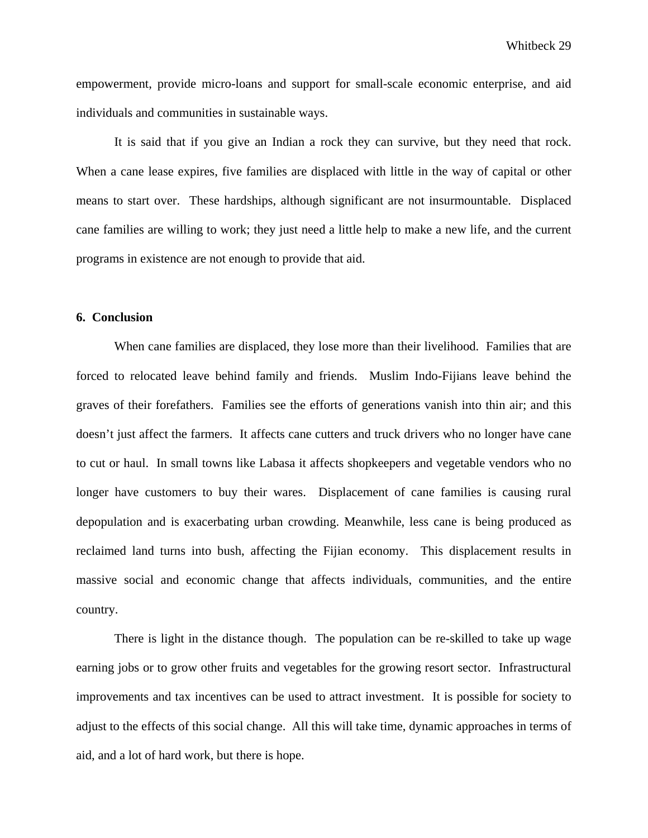empowerment, provide micro-loans and support for small-scale economic enterprise, and aid individuals and communities in sustainable ways.

It is said that if you give an Indian a rock they can survive, but they need that rock. When a cane lease expires, five families are displaced with little in the way of capital or other means to start over. These hardships, although significant are not insurmountable. Displaced cane families are willing to work; they just need a little help to make a new life, and the current programs in existence are not enough to provide that aid.

### **6. Conclusion**

 When cane families are displaced, they lose more than their livelihood. Families that are forced to relocated leave behind family and friends. Muslim Indo-Fijians leave behind the graves of their forefathers. Families see the efforts of generations vanish into thin air; and this doesn't just affect the farmers. It affects cane cutters and truck drivers who no longer have cane to cut or haul. In small towns like Labasa it affects shopkeepers and vegetable vendors who no longer have customers to buy their wares. Displacement of cane families is causing rural depopulation and is exacerbating urban crowding. Meanwhile, less cane is being produced as reclaimed land turns into bush, affecting the Fijian economy. This displacement results in massive social and economic change that affects individuals, communities, and the entire country.

 There is light in the distance though. The population can be re-skilled to take up wage earning jobs or to grow other fruits and vegetables for the growing resort sector. Infrastructural improvements and tax incentives can be used to attract investment. It is possible for society to adjust to the effects of this social change. All this will take time, dynamic approaches in terms of aid, and a lot of hard work, but there is hope.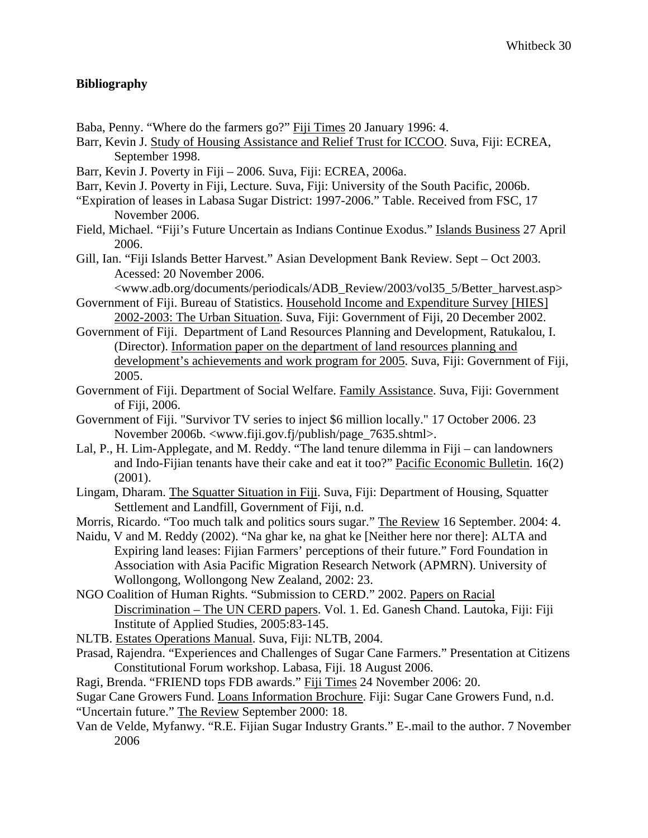# **Bibliography**

- Baba, Penny. "Where do the farmers go?" Fiji Times 20 January 1996: 4.
- Barr, Kevin J. Study of Housing Assistance and Relief Trust for ICCOO. Suva, Fiji: ECREA, September 1998.
- Barr, Kevin J. Poverty in Fiji 2006. Suva, Fiji: ECREA, 2006a.
- Barr, Kevin J. Poverty in Fiji, Lecture. Suva, Fiji: University of the South Pacific, 2006b.
- "Expiration of leases in Labasa Sugar District: 1997-2006." Table. Received from FSC, 17 November 2006.
- Field, Michael. "Fiji's Future Uncertain as Indians Continue Exodus." Islands Business 27 April 2006.
- Gill, Ian. "Fiji Islands Better Harvest." Asian Development Bank Review. Sept Oct 2003. Acessed: 20 November 2006.

<www.adb.org/documents/periodicals/ADB\_Review/2003/vol35\_5/Better\_harvest.asp> Government of Fiji. Bureau of Statistics. Household Income and Expenditure Survey [HIES]

- 2002-2003: The Urban Situation. Suva, Fiji: Government of Fiji, 20 December 2002.
- Government of Fiji. Department of Land Resources Planning and Development, Ratukalou, I. (Director). Information paper on the department of land resources planning and development's achievements and work program for 2005. Suva, Fiji: Government of Fiji, 2005.
- Government of Fiji. Department of Social Welfare. Family Assistance. Suva, Fiji: Government of Fiji, 2006.
- Government of Fiji. "Survivor TV series to inject \$6 million locally." 17 October 2006. 23 November 2006b. <www.fiji.gov.fj/publish/page\_7635.shtml>.
- Lal, P., H. Lim-Applegate, and M. Reddy. "The land tenure dilemma in Fiji can landowners and Indo-Fijian tenants have their cake and eat it too?" Pacific Economic Bulletin. 16(2)  $(2001)$ .
- Lingam, Dharam. The Squatter Situation in Fiji. Suva, Fiji: Department of Housing, Squatter Settlement and Landfill, Government of Fiji, n.d.
- Morris, Ricardo. "Too much talk and politics sours sugar." The Review 16 September. 2004: 4.
- Naidu, V and M. Reddy (2002). "Na ghar ke, na ghat ke [Neither here nor there]: ALTA and Expiring land leases: Fijian Farmers' perceptions of their future." Ford Foundation in Association with Asia Pacific Migration Research Network (APMRN). University of Wollongong, Wollongong New Zealand, 2002: 23.
- NGO Coalition of Human Rights. "Submission to CERD." 2002. Papers on Racial Discrimination – The UN CERD papers. Vol. 1. Ed. Ganesh Chand. Lautoka, Fiji: Fiji Institute of Applied Studies, 2005:83-145.
- NLTB. Estates Operations Manual. Suva, Fiji: NLTB, 2004.
- Prasad, Rajendra. "Experiences and Challenges of Sugar Cane Farmers." Presentation at Citizens Constitutional Forum workshop. Labasa, Fiji. 18 August 2006.
- Ragi, Brenda. "FRIEND tops FDB awards." Fiji Times 24 November 2006: 20.
- Sugar Cane Growers Fund. Loans Information Brochure. Fiji: Sugar Cane Growers Fund, n.d. "Uncertain future." The Review September 2000: 18.
- Van de Velde, Myfanwy. "R.E. Fijian Sugar Industry Grants." E-.mail to the author. 7 November 2006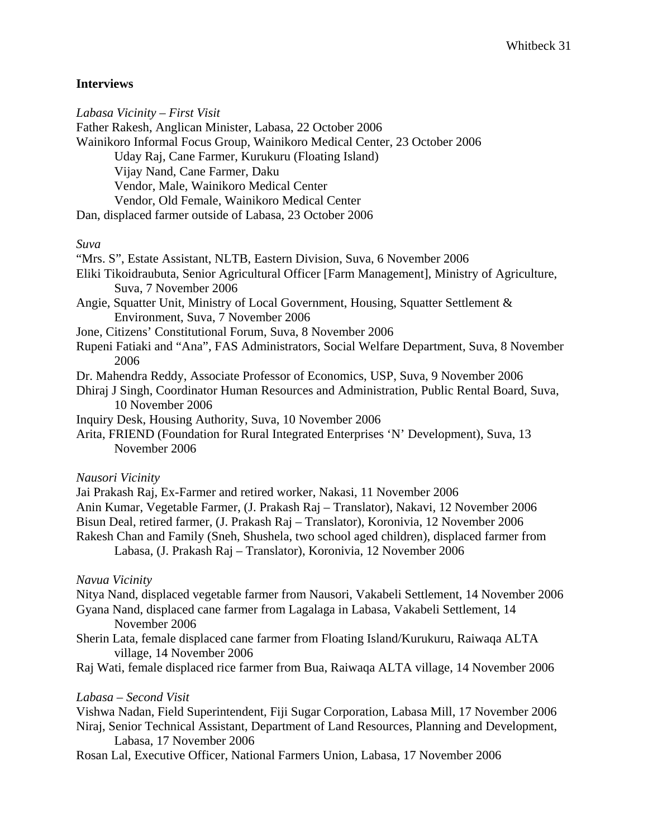# **Interviews**

| Labasa Vicinity – First Visit                                                                                                                                                                      |
|----------------------------------------------------------------------------------------------------------------------------------------------------------------------------------------------------|
| Father Rakesh, Anglican Minister, Labasa, 22 October 2006                                                                                                                                          |
| Wainikoro Informal Focus Group, Wainikoro Medical Center, 23 October 2006                                                                                                                          |
| Uday Raj, Cane Farmer, Kurukuru (Floating Island)                                                                                                                                                  |
| Vijay Nand, Cane Farmer, Daku                                                                                                                                                                      |
| Vendor, Male, Wainikoro Medical Center                                                                                                                                                             |
| Vendor, Old Female, Wainikoro Medical Center                                                                                                                                                       |
| Dan, displaced farmer outside of Labasa, 23 October 2006                                                                                                                                           |
| Suva                                                                                                                                                                                               |
| "Mrs. S", Estate Assistant, NLTB, Eastern Division, Suva, 6 November 2006                                                                                                                          |
| Eliki Tikoidraubuta, Senior Agricultural Officer [Farm Management], Ministry of Agriculture,<br>Suva, 7 November 2006                                                                              |
| Angie, Squatter Unit, Ministry of Local Government, Housing, Squatter Settlement &<br>Environment, Suva, 7 November 2006                                                                           |
| Jone, Citizens' Constitutional Forum, Suva, 8 November 2006                                                                                                                                        |
| Rupeni Fatiaki and "Ana", FAS Administrators, Social Welfare Department, Suva, 8 November<br>2006                                                                                                  |
| Dr. Mahendra Reddy, Associate Professor of Economics, USP, Suva, 9 November 2006<br>Dhiraj J Singh, Coordinator Human Resources and Administration, Public Rental Board, Suva,<br>10 November 2006 |
| Inquiry Desk, Housing Authority, Suva, 10 November 2006                                                                                                                                            |
| Arita, FRIEND (Foundation for Rural Integrated Enterprises 'N' Development), Suva, 13<br>November 2006                                                                                             |
| Nausori Vicinity                                                                                                                                                                                   |
| Jai Prakash Raj, Ex-Farmer and retired worker, Nakasi, 11 November 2006                                                                                                                            |
| Anin Kumar, Vegetable Farmer, (J. Prakash Raj - Translator), Nakavi, 12 November 2006<br>Bisun Deal, retired farmer, (J. Prakash Raj - Translator), Koronivia, 12 November 2006                    |

Rakesh Chan and Family (Sneh, Shushela, two school aged children), displaced farmer from Labasa, (J. Prakash Raj – Translator), Koronivia, 12 November 2006

## *Navua Vicinity*

Nitya Nand, displaced vegetable farmer from Nausori, Vakabeli Settlement, 14 November 2006 Gyana Nand, displaced cane farmer from Lagalaga in Labasa, Vakabeli Settlement, 14

- November 2006
- Sherin Lata, female displaced cane farmer from Floating Island/Kurukuru, Raiwaqa ALTA village, 14 November 2006
- Raj Wati, female displaced rice farmer from Bua, Raiwaqa ALTA village, 14 November 2006

## *Labasa – Second Visit*

Vishwa Nadan, Field Superintendent, Fiji Sugar Corporation, Labasa Mill, 17 November 2006 Niraj, Senior Technical Assistant, Department of Land Resources, Planning and Development, Labasa, 17 November 2006

Rosan Lal, Executive Officer, National Farmers Union, Labasa, 17 November 2006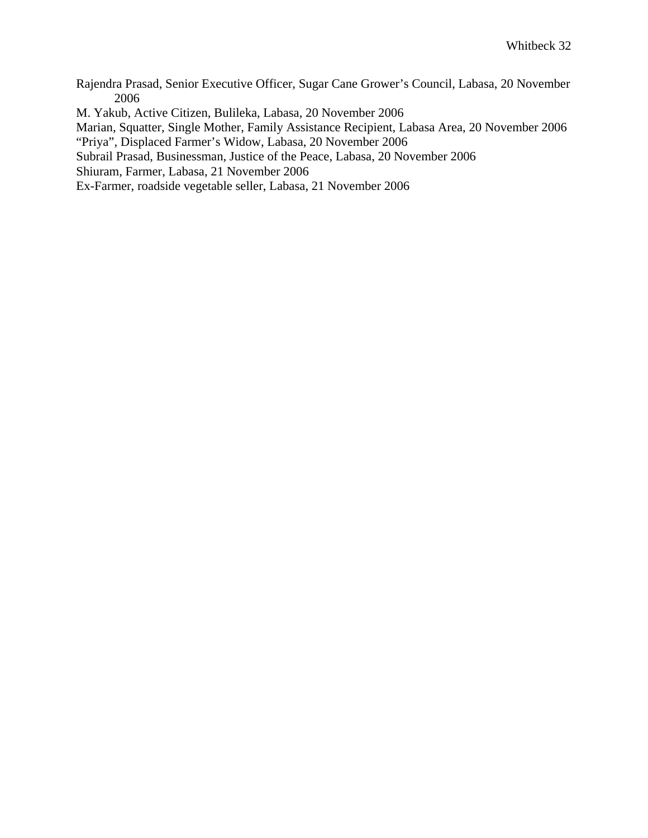Rajendra Prasad, Senior Executive Officer, Sugar Cane Grower's Council, Labasa, 20 November 2006

M. Yakub, Active Citizen, Bulileka, Labasa, 20 November 2006

Marian, Squatter, Single Mother, Family Assistance Recipient, Labasa Area, 20 November 2006

"Priya", Displaced Farmer's Widow, Labasa, 20 November 2006

Subrail Prasad, Businessman, Justice of the Peace, Labasa, 20 November 2006

Shiuram, Farmer, Labasa, 21 November 2006

Ex-Farmer, roadside vegetable seller, Labasa, 21 November 2006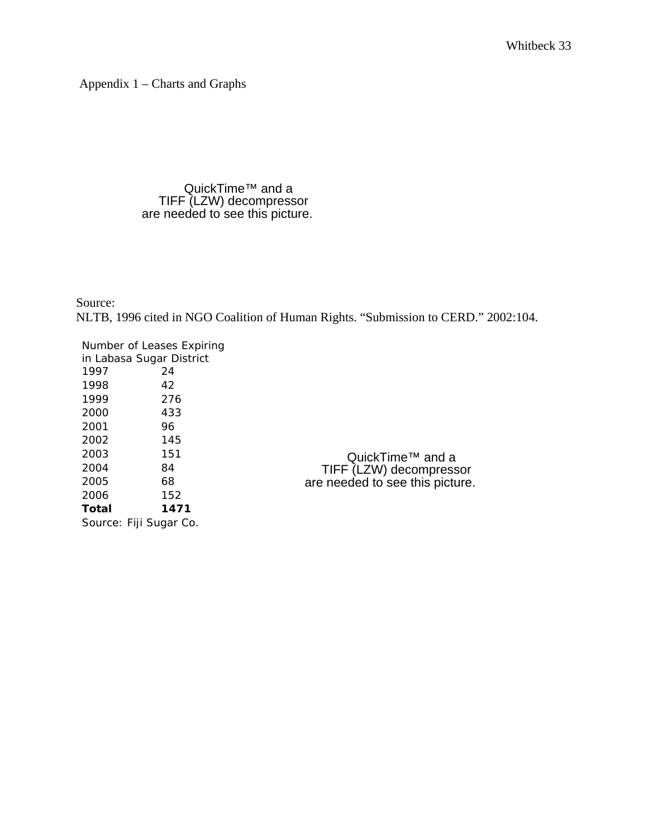Appendix 1 – Charts and Graphs

#### QuickTime™ and a TIFF (LZW) decompressor are needed to see this picture.

Source: NLTB, 1996 cited in NGO Coalition of Human Rights. "Submission to CERD." 2002:104.

QuickTime™ and a TIFF (LZW) decompressor are needed to see this picture.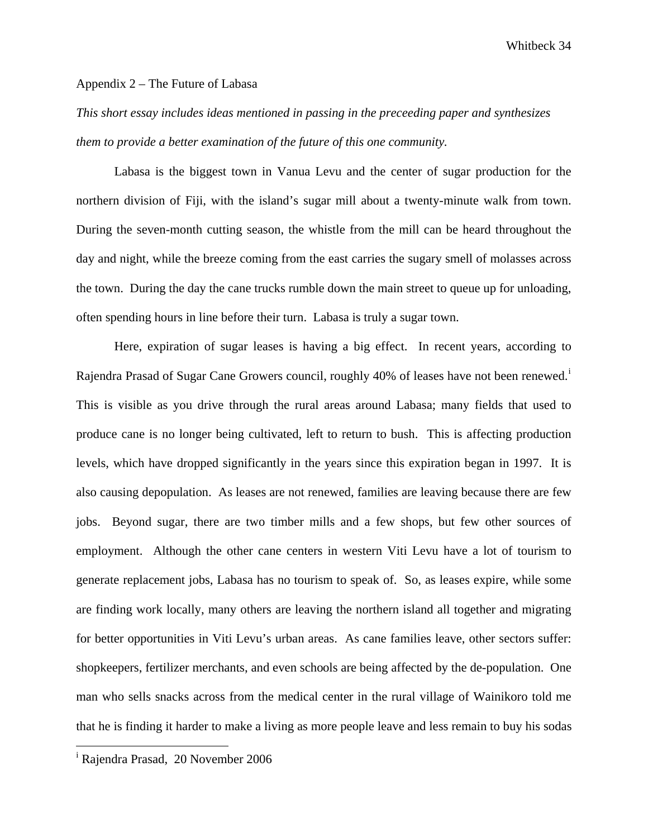#### Appendix 2 – The Future of Labasa

*This short essay includes ideas mentioned in passing in the preceeding paper and synthesizes them to provide a better examination of the future of this one community.* 

 Labasa is the biggest town in Vanua Levu and the center of sugar production for the northern division of Fiji, with the island's sugar mill about a twenty-minute walk from town. During the seven-month cutting season, the whistle from the mill can be heard throughout the day and night, while the breeze coming from the east carries the sugary smell of molasses across the town. During the day the cane trucks rumble down the main street to queue up for unloading, often spending hours in line before their turn. Labasa is truly a sugar town.

Here, expiration of sugar leases is having a big effect. In recent years, according to Rajendra Prasad of Sugar Cane Growers counc[i](#page-34-0)l, roughly 40% of leases have not been renewed.<sup>i</sup> This is visible as you drive through the rural areas around Labasa; many fields that used to produce cane is no longer being cultivated, left to return to bush. This is affecting production levels, which have dropped significantly in the years since this expiration began in 1997. It is also causing depopulation. As leases are not renewed, families are leaving because there are few jobs. Beyond sugar, there are two timber mills and a few shops, but few other sources of employment. Although the other cane centers in western Viti Levu have a lot of tourism to generate replacement jobs, Labasa has no tourism to speak of. So, as leases expire, while some are finding work locally, many others are leaving the northern island all together and migrating for better opportunities in Viti Levu's urban areas. As cane families leave, other sectors suffer: shopkeepers, fertilizer merchants, and even schools are being affected by the de-population. One man who sells snacks across from the medical center in the rural village of Wainikoro told me that he is finding it harder to make a living as more people leave and less remain to buy his sodas

<u>.</u>

<span id="page-34-0"></span><sup>&</sup>lt;sup>i</sup> Rajendra Prasad, 20 November 2006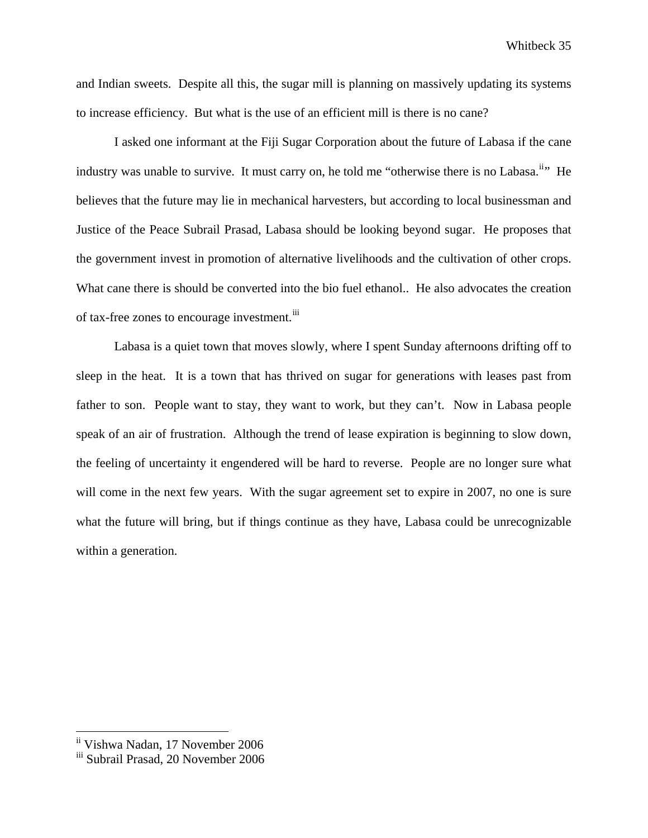and Indian sweets. Despite all this, the sugar mill is planning on massively updating its systems to increase efficiency. But what is the use of an efficient mill is there is no cane?

I asked one informant at the Fiji Sugar Corporation about the future of Labasa if the cane industry was unable to survive. It must carry on, he told me "otherwise there is no Labasa.<sup>[ii](#page-35-0)</sup>" He believes that the future may lie in mechanical harvesters, but according to local businessman and Justice of the Peace Subrail Prasad, Labasa should be looking beyond sugar. He proposes that the government invest in promotion of alternative livelihoods and the cultivation of other crops. What cane there is should be converted into the bio fuel ethanol.. He also advocates the creation of tax-free zones to encourage investment.<sup>[iii](#page-35-1)</sup>

Labasa is a quiet town that moves slowly, where I spent Sunday afternoons drifting off to sleep in the heat. It is a town that has thrived on sugar for generations with leases past from father to son. People want to stay, they want to work, but they can't. Now in Labasa people speak of an air of frustration. Although the trend of lease expiration is beginning to slow down, the feeling of uncertainty it engendered will be hard to reverse. People are no longer sure what will come in the next few years. With the sugar agreement set to expire in 2007, no one is sure what the future will bring, but if things continue as they have, Labasa could be unrecognizable within a generation.

ii Vishwa Nadan, 17 November 2006

<span id="page-35-1"></span><span id="page-35-0"></span>iii Subrail Prasad, 20 November 2006